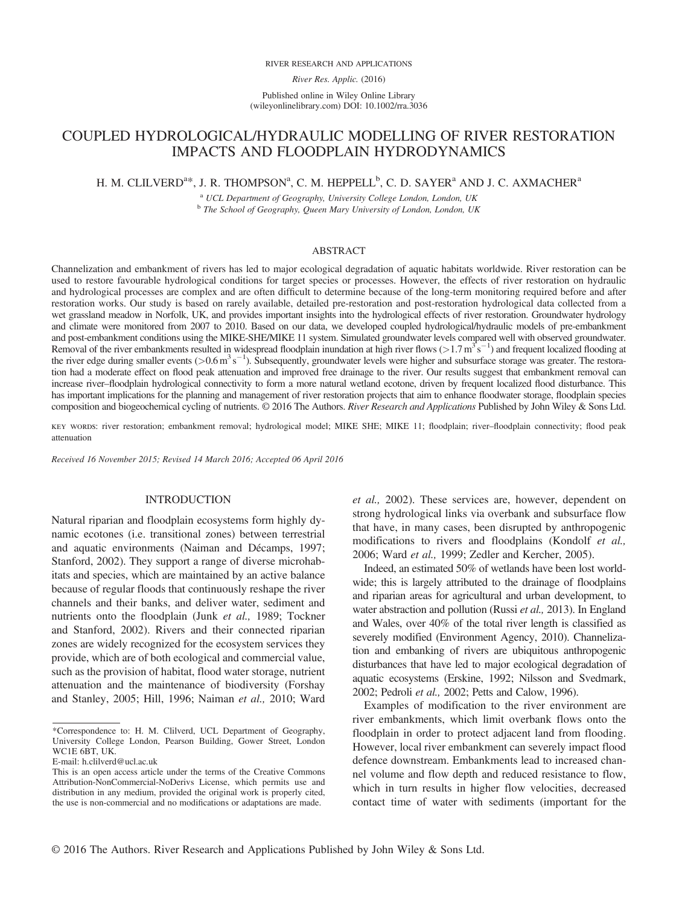#### RIVER RESEARCH AND APPLICATIONS

River Res. Applic. (2016)

Published online in Wiley Online Library (wileyonlinelibrary.com) DOI: 10.1002/rra.3036

# COUPLED HYDROLOGICAL/HYDRAULIC MODELLING OF RIVER RESTORATION IMPACTS AND FLOODPLAIN HYDRODYNAMICS

# H. M. CLILVERD<sup>a\*</sup>, J. R. THOMPSON<sup>a</sup>, C. M. HEPPELL<sup>b</sup>, C. D. SAYER<sup>a</sup> AND J. C. AXMACHER<sup>a</sup>

<sup>a</sup> UCL Department of Geography, University College London, London, UK b The School of Geography, Queen Mary University of London, London, UK

#### ABSTRACT

Channelization and embankment of rivers has led to major ecological degradation of aquatic habitats worldwide. River restoration can be used to restore favourable hydrological conditions for target species or processes. However, the effects of river restoration on hydraulic and hydrological processes are complex and are often difficult to determine because of the long-term monitoring required before and after restoration works. Our study is based on rarely available, detailed pre-restoration and post-restoration hydrological data collected from a wet grassland meadow in Norfolk, UK, and provides important insights into the hydrological effects of river restoration. Groundwater hydrology and climate were monitored from 2007 to 2010. Based on our data, we developed coupled hydrological/hydraulic models of pre-embankment and post-embankment conditions using the MIKE-SHE/MIKE 11 system. Simulated groundwater levels compared well with observed groundwater. Removal of the river embankments resulted in widespread floodplain inundation at high river flows ( $>1.7 \text{ m}^3 \text{s}^{-1}$ ) and frequent localized flooding at the river edge during smaller events ( $> 0.6$  m<sup>3</sup> s<sup>-1</sup>). Subsequently, groundwater levels were higher and subsurface storage was greater. The restoration had a moderate effect on flood peak attenuation and improved free drainage to the river. Our results suggest that embankment removal can increase river–floodplain hydrological connectivity to form a more natural wetland ecotone, driven by frequent localized flood disturbance. This has important implications for the planning and management of river restoration projects that aim to enhance floodwater storage, floodplain species composition and biogeochemical cycling of nutrients. © 2016 The Authors. River Research and Applications Published by John Wiley & Sons Ltd.

key words: river restoration; embankment removal; hydrological model; MIKE SHE; MIKE 11; floodplain; river–floodplain connectivity; flood peak attenuation

Received 16 November 2015; Revised 14 March 2016; Accepted 06 April 2016

### INTRODUCTION

Natural riparian and floodplain ecosystems form highly dynamic ecotones (i.e. transitional zones) between terrestrial and aquatic environments (Naiman and Décamps, 1997; Stanford, 2002). They support a range of diverse microhabitats and species, which are maintained by an active balance because of regular floods that continuously reshape the river channels and their banks, and deliver water, sediment and nutrients onto the floodplain (Junk et al., 1989; Tockner and Stanford, 2002). Rivers and their connected riparian zones are widely recognized for the ecosystem services they provide, which are of both ecological and commercial value, such as the provision of habitat, flood water storage, nutrient attenuation and the maintenance of biodiversity (Forshay and Stanley, 2005; Hill, 1996; Naiman et al., 2010; Ward et al., 2002). These services are, however, dependent on strong hydrological links via overbank and subsurface flow that have, in many cases, been disrupted by anthropogenic modifications to rivers and floodplains (Kondolf et al., 2006; Ward et al., 1999; Zedler and Kercher, 2005).

Indeed, an estimated 50% of wetlands have been lost worldwide; this is largely attributed to the drainage of floodplains and riparian areas for agricultural and urban development, to water abstraction and pollution (Russi et al., 2013). In England and Wales, over 40% of the total river length is classified as severely modified (Environment Agency, 2010). Channelization and embanking of rivers are ubiquitous anthropogenic disturbances that have led to major ecological degradation of aquatic ecosystems (Erskine, 1992; Nilsson and Svedmark, 2002; Pedroli et al., 2002; Petts and Calow, 1996).

Examples of modification to the river environment are river embankments, which limit overbank flows onto the floodplain in order to protect adjacent land from flooding. However, local river embankment can severely impact flood defence downstream. Embankments lead to increased channel volume and flow depth and reduced resistance to flow, which in turn results in higher flow velocities, decreased contact time of water with sediments (important for the

<sup>\*</sup>Correspondence to: H. M. Clilverd, UCL Department of Geography, University College London, Pearson Building, Gower Street, London WC1E 6BT, UK.

E-mail: h.clilverd@ucl.ac.uk

This is an open access article under the terms of the Creative Commons Attribution-NonCommercial-NoDerivs License, which permits use and distribution in any medium, provided the original work is properly cited, the use is non-commercial and no modifications or adaptations are made.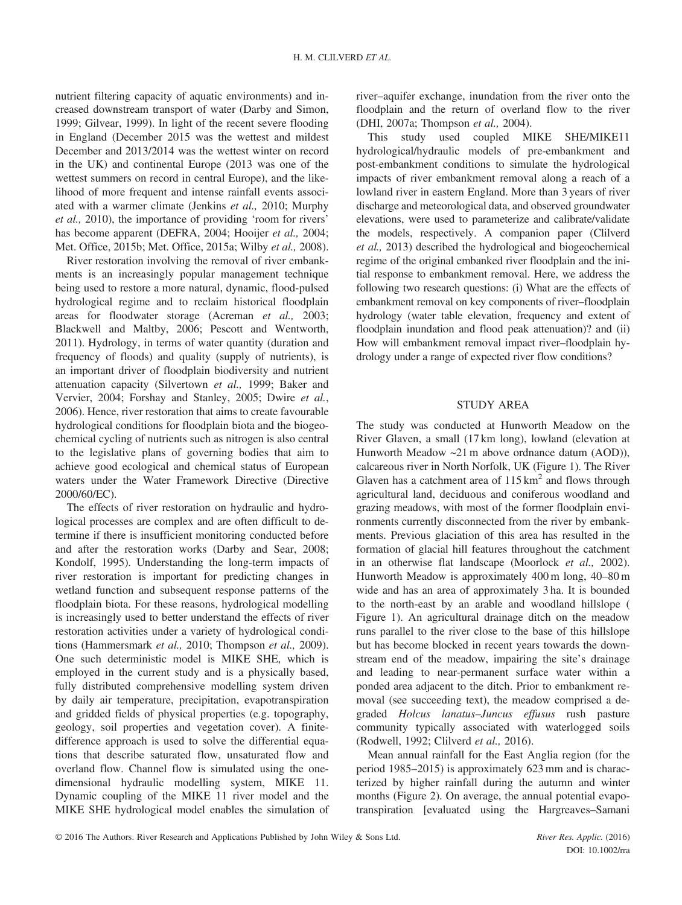nutrient filtering capacity of aquatic environments) and increased downstream transport of water (Darby and Simon, 1999; Gilvear, 1999). In light of the recent severe flooding in England (December 2015 was the wettest and mildest December and 2013/2014 was the wettest winter on record in the UK) and continental Europe (2013 was one of the wettest summers on record in central Europe), and the likelihood of more frequent and intense rainfall events associated with a warmer climate (Jenkins et al., 2010; Murphy et al., 2010), the importance of providing 'room for rivers' has become apparent (DEFRA, 2004; Hooijer et al., 2004; Met. Office, 2015b; Met. Office, 2015a; Wilby et al., 2008).

River restoration involving the removal of river embankments is an increasingly popular management technique being used to restore a more natural, dynamic, flood-pulsed hydrological regime and to reclaim historical floodplain areas for floodwater storage (Acreman et al., 2003; Blackwell and Maltby, 2006; Pescott and Wentworth, 2011). Hydrology, in terms of water quantity (duration and frequency of floods) and quality (supply of nutrients), is an important driver of floodplain biodiversity and nutrient attenuation capacity (Silvertown et al., 1999; Baker and Vervier, 2004; Forshay and Stanley, 2005; Dwire et al., 2006). Hence, river restoration that aims to create favourable hydrological conditions for floodplain biota and the biogeochemical cycling of nutrients such as nitrogen is also central to the legislative plans of governing bodies that aim to achieve good ecological and chemical status of European waters under the Water Framework Directive (Directive 2000/60/EC).

The effects of river restoration on hydraulic and hydrological processes are complex and are often difficult to determine if there is insufficient monitoring conducted before and after the restoration works (Darby and Sear, 2008; Kondolf, 1995). Understanding the long-term impacts of river restoration is important for predicting changes in wetland function and subsequent response patterns of the floodplain biota. For these reasons, hydrological modelling is increasingly used to better understand the effects of river restoration activities under a variety of hydrological conditions (Hammersmark et al., 2010; Thompson et al., 2009). One such deterministic model is MIKE SHE, which is employed in the current study and is a physically based, fully distributed comprehensive modelling system driven by daily air temperature, precipitation, evapotranspiration and gridded fields of physical properties (e.g. topography, geology, soil properties and vegetation cover). A finitedifference approach is used to solve the differential equations that describe saturated flow, unsaturated flow and overland flow. Channel flow is simulated using the onedimensional hydraulic modelling system, MIKE 11. Dynamic coupling of the MIKE 11 river model and the MIKE SHE hydrological model enables the simulation of river–aquifer exchange, inundation from the river onto the floodplain and the return of overland flow to the river (DHI, 2007a; Thompson et al., 2004).

This study used coupled MIKE SHE/MIKE11 hydrological/hydraulic models of pre-embankment and post-embankment conditions to simulate the hydrological impacts of river embankment removal along a reach of a lowland river in eastern England. More than 3 years of river discharge and meteorological data, and observed groundwater elevations, were used to parameterize and calibrate/validate the models, respectively. A companion paper (Clilverd et al., 2013) described the hydrological and biogeochemical regime of the original embanked river floodplain and the initial response to embankment removal. Here, we address the following two research questions: (i) What are the effects of embankment removal on key components of river–floodplain hydrology (water table elevation, frequency and extent of floodplain inundation and flood peak attenuation)? and (ii) How will embankment removal impact river–floodplain hydrology under a range of expected river flow conditions?

## STUDY AREA

The study was conducted at Hunworth Meadow on the River Glaven, a small (17 km long), lowland (elevation at Hunworth Meadow ~21 m above ordnance datum (AOD)), calcareous river in North Norfolk, UK (Figure 1). The River Glaven has a catchment area of  $115 \text{ km}^2$  and flows through agricultural land, deciduous and coniferous woodland and grazing meadows, with most of the former floodplain environments currently disconnected from the river by embankments. Previous glaciation of this area has resulted in the formation of glacial hill features throughout the catchment in an otherwise flat landscape (Moorlock et al., 2002). Hunworth Meadow is approximately 400 m long, 40–80 m wide and has an area of approximately 3 ha. It is bounded to the north-east by an arable and woodland hillslope ( Figure 1). An agricultural drainage ditch on the meadow runs parallel to the river close to the base of this hillslope but has become blocked in recent years towards the downstream end of the meadow, impairing the site's drainage and leading to near-permanent surface water within a ponded area adjacent to the ditch. Prior to embankment removal (see succeeding text), the meadow comprised a degraded Holcus lanatus–Juncus effusus rush pasture community typically associated with waterlogged soils (Rodwell, 1992; Clilverd et al., 2016).

Mean annual rainfall for the East Anglia region (for the period 1985–2015) is approximately 623 mm and is characterized by higher rainfall during the autumn and winter months (Figure 2). On average, the annual potential evapotranspiration [evaluated using the Hargreaves–Samani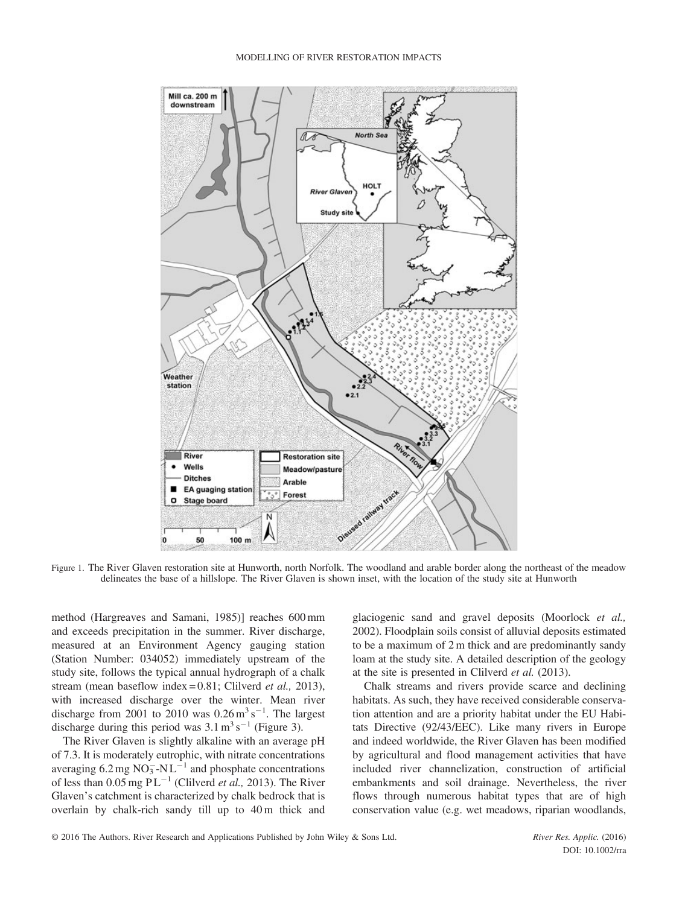

Figure 1. The River Glaven restoration site at Hunworth, north Norfolk. The woodland and arable border along the northeast of the meadow delineates the base of a hillslope. The River Glaven is shown inset, with the location of the study site at Hunworth

method (Hargreaves and Samani, 1985)] reaches 600 mm and exceeds precipitation in the summer. River discharge, measured at an Environment Agency gauging station (Station Number: 034052) immediately upstream of the study site, follows the typical annual hydrograph of a chalk stream (mean baseflow index = 0.81; Clilverd et al., 2013), with increased discharge over the winter. Mean river discharge from 2001 to 2010 was  $0.26 \text{ m}^3 \text{ s}^{-1}$ . The largest discharge during this period was  $3.1 \text{ m}^3 \text{ s}^{-1}$  (Figure 3).

The River Glaven is slightly alkaline with an average pH of 7.3. It is moderately eutrophic, with nitrate concentrations averaging  $6.2 \text{ mg NO}_3^- \text{-NL}^{-1}$  and phosphate concentrations of less than  $0.05$  mg PL<sup>-1</sup> (Clilverd *et al.*, 2013). The River Glaven's catchment is characterized by chalk bedrock that is overlain by chalk-rich sandy till up to 40 m thick and glaciogenic sand and gravel deposits (Moorlock et al., 2002). Floodplain soils consist of alluvial deposits estimated to be a maximum of 2 m thick and are predominantly sandy loam at the study site. A detailed description of the geology at the site is presented in Clilverd et al. (2013).

Chalk streams and rivers provide scarce and declining habitats. As such, they have received considerable conservation attention and are a priority habitat under the EU Habitats Directive (92/43/EEC). Like many rivers in Europe and indeed worldwide, the River Glaven has been modified by agricultural and flood management activities that have included river channelization, construction of artificial embankments and soil drainage. Nevertheless, the river flows through numerous habitat types that are of high conservation value (e.g. wet meadows, riparian woodlands,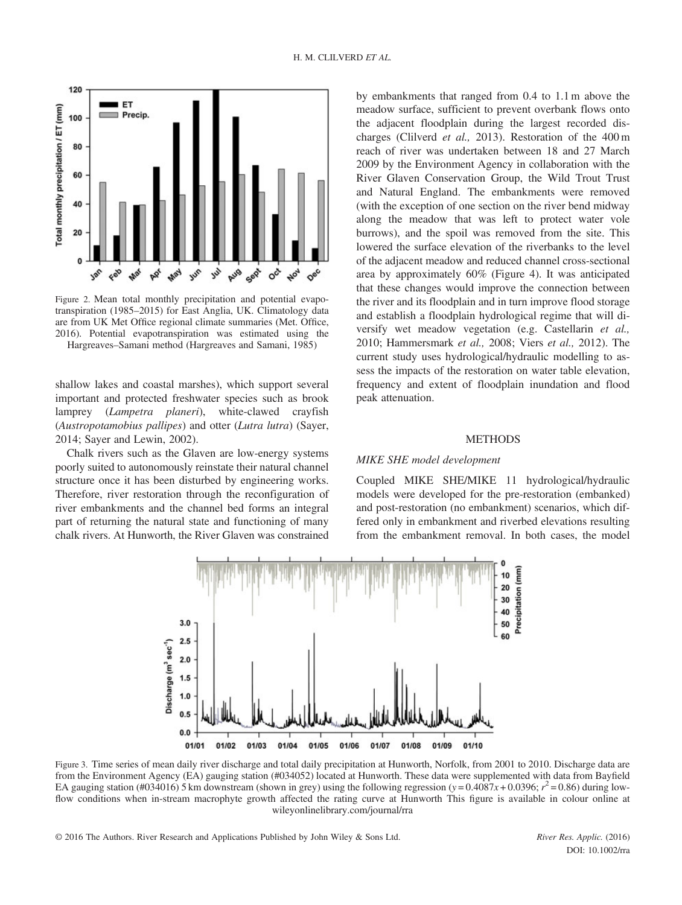

Figure 2. Mean total monthly precipitation and potential evapotranspiration (1985–2015) for East Anglia, UK. Climatology data are from UK Met Office regional climate summaries (Met. Office, 2016). Potential evapotranspiration was estimated using the

Hargreaves–Samani method (Hargreaves and Samani, 1985)

shallow lakes and coastal marshes), which support several important and protected freshwater species such as brook lamprey (*Lampetra planeri*), white-clawed crayfish (Austropotamobius pallipes) and otter (Lutra lutra) (Sayer, 2014; Sayer and Lewin, 2002).

Chalk rivers such as the Glaven are low-energy systems poorly suited to autonomously reinstate their natural channel structure once it has been disturbed by engineering works. Therefore, river restoration through the reconfiguration of river embankments and the channel bed forms an integral part of returning the natural state and functioning of many chalk rivers. At Hunworth, the River Glaven was constrained by embankments that ranged from 0.4 to 1.1 m above the meadow surface, sufficient to prevent overbank flows onto the adjacent floodplain during the largest recorded discharges (Clilverd et al., 2013). Restoration of the 400 m reach of river was undertaken between 18 and 27 March 2009 by the Environment Agency in collaboration with the River Glaven Conservation Group, the Wild Trout Trust and Natural England. The embankments were removed (with the exception of one section on the river bend midway along the meadow that was left to protect water vole burrows), and the spoil was removed from the site. This lowered the surface elevation of the riverbanks to the level of the adjacent meadow and reduced channel cross-sectional area by approximately 60% (Figure 4). It was anticipated that these changes would improve the connection between the river and its floodplain and in turn improve flood storage and establish a floodplain hydrological regime that will diversify wet meadow vegetation (e.g. Castellarin et al., 2010; Hammersmark et al., 2008; Viers et al., 2012). The current study uses hydrological/hydraulic modelling to assess the impacts of the restoration on water table elevation, frequency and extent of floodplain inundation and flood peak attenuation.

#### **METHODS**

## MIKE SHE model development

Coupled MIKE SHE/MIKE 11 hydrological/hydraulic models were developed for the pre-restoration (embanked) and post-restoration (no embankment) scenarios, which differed only in embankment and riverbed elevations resulting from the embankment removal. In both cases, the model



Figure 3. Time series of mean daily river discharge and total daily precipitation at Hunworth, Norfolk, from 2001 to 2010. Discharge data are from the Environment Agency (EA) gauging station (#034052) located at Hunworth. These data were supplemented with data from Bayfield EA gauging station (#034016) 5 km downstream (shown in grey) using the following regression (y = 0.4087x + 0.0396;  $r^2$  = 0.86) during lowflow conditions when in-stream macrophyte growth affected the rating curve at Hunworth This figure is available in colour online at wileyonlinelibrary.com/journal/rra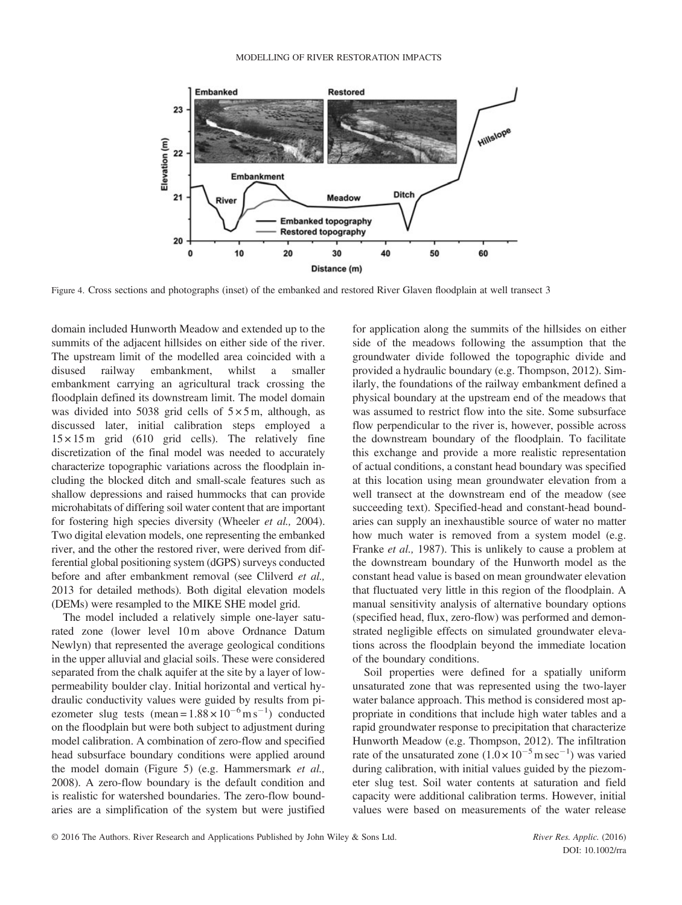

Figure 4. Cross sections and photographs (inset) of the embanked and restored River Glaven floodplain at well transect 3

domain included Hunworth Meadow and extended up to the summits of the adjacent hillsides on either side of the river. The upstream limit of the modelled area coincided with a disused railway embankment, whilst a smaller embankment carrying an agricultural track crossing the floodplain defined its downstream limit. The model domain was divided into 5038 grid cells of  $5 \times 5$  m, although, as discussed later, initial calibration steps employed a  $15 \times 15$  m grid (610 grid cells). The relatively fine discretization of the final model was needed to accurately characterize topographic variations across the floodplain including the blocked ditch and small-scale features such as shallow depressions and raised hummocks that can provide microhabitats of differing soil water content that are important for fostering high species diversity (Wheeler et al., 2004). Two digital elevation models, one representing the embanked river, and the other the restored river, were derived from differential global positioning system (dGPS) surveys conducted before and after embankment removal (see Clilverd *et al.*, 2013 for detailed methods). Both digital elevation models (DEMs) were resampled to the MIKE SHE model grid.

The model included a relatively simple one-layer saturated zone (lower level 10 m above Ordnance Datum Newlyn) that represented the average geological conditions in the upper alluvial and glacial soils. These were considered separated from the chalk aquifer at the site by a layer of lowpermeability boulder clay. Initial horizontal and vertical hydraulic conductivity values were guided by results from piezometer slug tests (mean =  $1.88 \times 10^{-6}$  m s<sup>-1</sup>) conducted on the floodplain but were both subject to adjustment during model calibration. A combination of zero-flow and specified head subsurface boundary conditions were applied around the model domain (Figure 5) (e.g. Hammersmark et al., 2008). A zero-flow boundary is the default condition and is realistic for watershed boundaries. The zero-flow boundaries are a simplification of the system but were justified for application along the summits of the hillsides on either side of the meadows following the assumption that the groundwater divide followed the topographic divide and provided a hydraulic boundary (e.g. Thompson, 2012). Similarly, the foundations of the railway embankment defined a physical boundary at the upstream end of the meadows that was assumed to restrict flow into the site. Some subsurface flow perpendicular to the river is, however, possible across the downstream boundary of the floodplain. To facilitate this exchange and provide a more realistic representation of actual conditions, a constant head boundary was specified at this location using mean groundwater elevation from a well transect at the downstream end of the meadow (see succeeding text). Specified-head and constant-head boundaries can supply an inexhaustible source of water no matter how much water is removed from a system model (e.g. Franke et al., 1987). This is unlikely to cause a problem at the downstream boundary of the Hunworth model as the constant head value is based on mean groundwater elevation that fluctuated very little in this region of the floodplain. A manual sensitivity analysis of alternative boundary options (specified head, flux, zero-flow) was performed and demonstrated negligible effects on simulated groundwater elevations across the floodplain beyond the immediate location of the boundary conditions.

Soil properties were defined for a spatially uniform unsaturated zone that was represented using the two-layer water balance approach. This method is considered most appropriate in conditions that include high water tables and a rapid groundwater response to precipitation that characterize Hunworth Meadow (e.g. Thompson, 2012). The infiltration rate of the unsaturated zone  $(1.0 \times 10^{-5} \text{ m sec}^{-1})$  was varied during calibration, with initial values guided by the piezometer slug test. Soil water contents at saturation and field capacity were additional calibration terms. However, initial values were based on measurements of the water release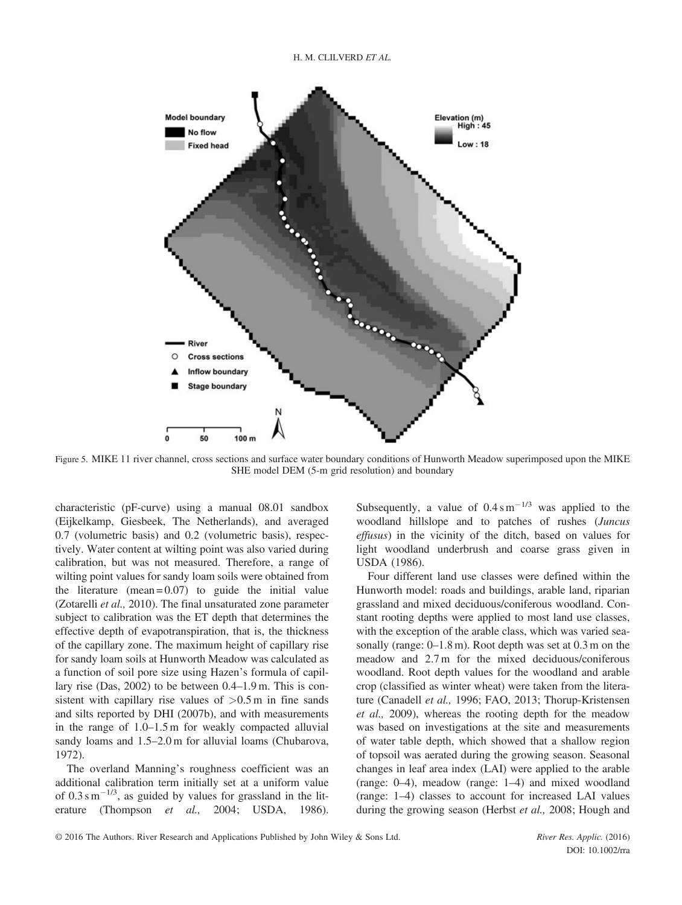

Figure 5. MIKE 11 river channel, cross sections and surface water boundary conditions of Hunworth Meadow superimposed upon the MIKE SHE model DEM (5-m grid resolution) and boundary

characteristic (pF-curve) using a manual 08.01 sandbox (Eijkelkamp, Giesbeek, The Netherlands), and averaged 0.7 (volumetric basis) and 0.2 (volumetric basis), respectively. Water content at wilting point was also varied during calibration, but was not measured. Therefore, a range of wilting point values for sandy loam soils were obtained from the literature (mean  $= 0.07$ ) to guide the initial value (Zotarelli et al., 2010). The final unsaturated zone parameter subject to calibration was the ET depth that determines the effective depth of evapotranspiration, that is, the thickness of the capillary zone. The maximum height of capillary rise for sandy loam soils at Hunworth Meadow was calculated as a function of soil pore size using Hazen's formula of capillary rise (Das, 2002) to be between 0.4–1.9 m. This is consistent with capillary rise values of  $>0.5$  m in fine sands and silts reported by DHI (2007b), and with measurements in the range of 1.0–1.5 m for weakly compacted alluvial sandy loams and  $1.5-2.0$  m for alluvial loams (Chubarova, 1972).

The overland Manning's roughness coefficient was an additional calibration term initially set at a uniform value of  $0.3 \text{ s m}^{-1/3}$ , as guided by values for grassland in the literature (Thompson et al., 2004; USDA, 1986). Subsequently, a value of  $0.4 \text{ s m}^{-1/3}$  was applied to the woodland hillslope and to patches of rushes (Juncus effusus) in the vicinity of the ditch, based on values for light woodland underbrush and coarse grass given in USDA (1986).

Four different land use classes were defined within the Hunworth model: roads and buildings, arable land, riparian grassland and mixed deciduous/coniferous woodland. Constant rooting depths were applied to most land use classes, with the exception of the arable class, which was varied seasonally (range: 0–1.8 m). Root depth was set at 0.3 m on the meadow and 2.7 m for the mixed deciduous/coniferous woodland. Root depth values for the woodland and arable crop (classified as winter wheat) were taken from the literature (Canadell et al., 1996; FAO, 2013; Thorup-Kristensen et al., 2009), whereas the rooting depth for the meadow was based on investigations at the site and measurements of water table depth, which showed that a shallow region of topsoil was aerated during the growing season. Seasonal changes in leaf area index (LAI) were applied to the arable (range: 0–4), meadow (range: 1–4) and mixed woodland (range: 1–4) classes to account for increased LAI values during the growing season (Herbst et al., 2008; Hough and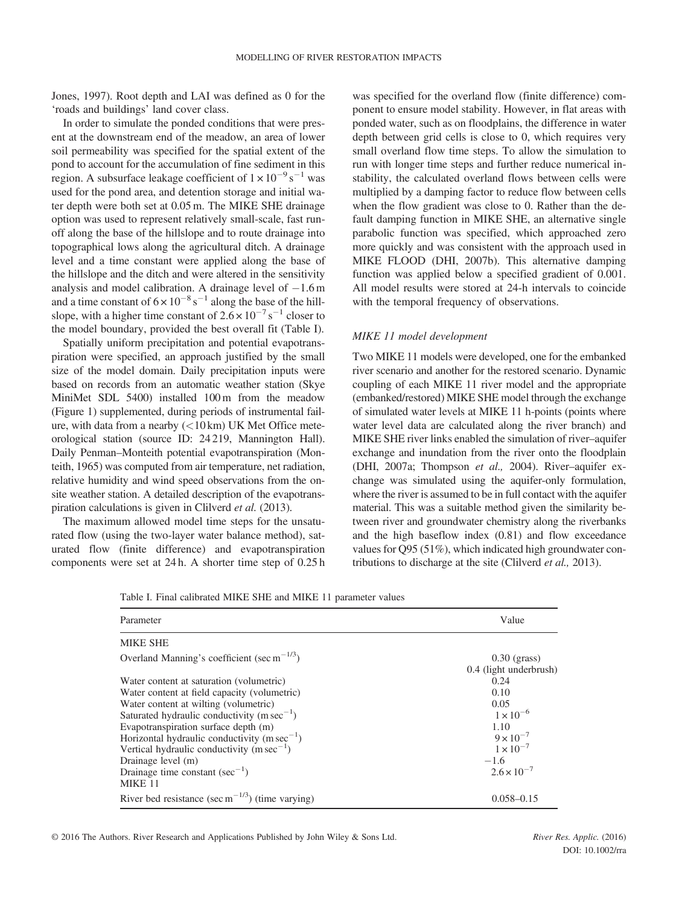Jones, 1997). Root depth and LAI was defined as 0 for the 'roads and buildings' land cover class.

In order to simulate the ponded conditions that were present at the downstream end of the meadow, an area of lower soil permeability was specified for the spatial extent of the pond to account for the accumulation of fine sediment in this region. A subsurface leakage coefficient of  $1 \times 10^{-9}$  s<sup>-1</sup> was used for the pond area, and detention storage and initial water depth were both set at 0.05 m. The MIKE SHE drainage option was used to represent relatively small-scale, fast runoff along the base of the hillslope and to route drainage into topographical lows along the agricultural ditch. A drainage level and a time constant were applied along the base of the hillslope and the ditch and were altered in the sensitivity analysis and model calibration. A drainage level of  $-1.6$  m and a time constant of  $6 \times 10^{-8}$  s<sup>-1</sup> along the base of the hillslope, with a higher time constant of  $2.6 \times 10^{-7}$  s<sup>-1</sup> closer to the model boundary, provided the best overall fit (Table I).

Spatially uniform precipitation and potential evapotranspiration were specified, an approach justified by the small size of the model domain. Daily precipitation inputs were based on records from an automatic weather station (Skye MiniMet SDL 5400) installed 100 m from the meadow (Figure 1) supplemented, during periods of instrumental failure, with data from a nearby  $(<10 \text{ km})$  UK Met Office meteorological station (source ID: 24 219, Mannington Hall). Daily Penman–Monteith potential evapotranspiration (Monteith, 1965) was computed from air temperature, net radiation, relative humidity and wind speed observations from the onsite weather station. A detailed description of the evapotranspiration calculations is given in Clilverd et al. (2013).

The maximum allowed model time steps for the unsaturated flow (using the two-layer water balance method), saturated flow (finite difference) and evapotranspiration components were set at 24 h. A shorter time step of 0.25 h was specified for the overland flow (finite difference) component to ensure model stability. However, in flat areas with ponded water, such as on floodplains, the difference in water depth between grid cells is close to 0, which requires very small overland flow time steps. To allow the simulation to run with longer time steps and further reduce numerical instability, the calculated overland flows between cells were multiplied by a damping factor to reduce flow between cells when the flow gradient was close to 0. Rather than the default damping function in MIKE SHE, an alternative single parabolic function was specified, which approached zero more quickly and was consistent with the approach used in MIKE FLOOD (DHI, 2007b). This alternative damping function was applied below a specified gradient of 0.001. All model results were stored at 24-h intervals to coincide with the temporal frequency of observations.

#### MIKE 11 model development

Two MIKE 11 models were developed, one for the embanked river scenario and another for the restored scenario. Dynamic coupling of each MIKE 11 river model and the appropriate (embanked/restored) MIKE SHE model through the exchange of simulated water levels at MIKE 11 h-points (points where water level data are calculated along the river branch) and MIKE SHE river links enabled the simulation of river–aquifer exchange and inundation from the river onto the floodplain (DHI, 2007a; Thompson et al., 2004). River–aquifer exchange was simulated using the aquifer-only formulation, where the river is assumed to be in full contact with the aquifer material. This was a suitable method given the similarity between river and groundwater chemistry along the riverbanks and the high baseflow index (0.81) and flow exceedance values for Q95 (51%), which indicated high groundwater contributions to discharge at the site (Clilverd et al., 2013).

| Table I. Final calibrated MIKE SHE and MIKE 11 parameter values |  |  |  |  |
|-----------------------------------------------------------------|--|--|--|--|
|-----------------------------------------------------------------|--|--|--|--|

| Parameter                                                                 | Value                                    |  |
|---------------------------------------------------------------------------|------------------------------------------|--|
| <b>MIKE SHE</b>                                                           |                                          |  |
| Overland Manning's coefficient (sec m <sup><math>-1/3</math></sup> )      | $0.30$ (grass)<br>0.4 (light underbrush) |  |
| Water content at saturation (volumetric)                                  | 0.24                                     |  |
| Water content at field capacity (volumetric)                              | 0.10                                     |  |
| Water content at wilting (volumetric)                                     | 0.05                                     |  |
| Saturated hydraulic conductivity (m $sec^{-1}$ )                          | $1 \times 10^{-6}$                       |  |
| Evapotranspiration surface depth (m)                                      | 1.10                                     |  |
| Horizontal hydraulic conductivity (m $sec^{-1}$ )                         | $9 \times 10^{-7}$                       |  |
| Vertical hydraulic conductivity $(m \sec^{-1})$                           | $1 \times 10^{-7}$                       |  |
| Drainage level (m)                                                        | $-1.6$                                   |  |
| Drainage time constant (sec <sup>-1</sup> )<br>MIKE <sub>11</sub>         | $2.6 \times 10^{-7}$                     |  |
| River bed resistance (sec m <sup><math>-1/3</math></sup> ) (time varying) | $0.058 - 0.15$                           |  |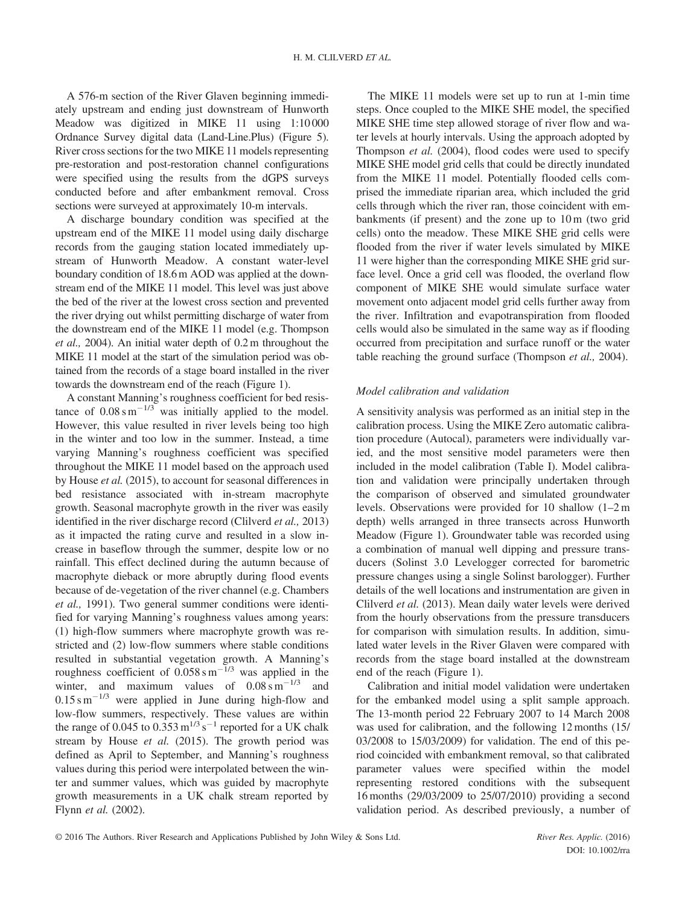A 576-m section of the River Glaven beginning immediately upstream and ending just downstream of Hunworth Meadow was digitized in MIKE 11 using 1:10 000 Ordnance Survey digital data (Land-Line.Plus) (Figure 5). River cross sections for the two MIKE 11 models representing pre-restoration and post-restoration channel configurations were specified using the results from the dGPS surveys conducted before and after embankment removal. Cross sections were surveyed at approximately 10-m intervals.

A discharge boundary condition was specified at the upstream end of the MIKE 11 model using daily discharge records from the gauging station located immediately upstream of Hunworth Meadow. A constant water-level boundary condition of 18.6 m AOD was applied at the downstream end of the MIKE 11 model. This level was just above the bed of the river at the lowest cross section and prevented the river drying out whilst permitting discharge of water from the downstream end of the MIKE 11 model (e.g. Thompson et al., 2004). An initial water depth of 0.2 m throughout the MIKE 11 model at the start of the simulation period was obtained from the records of a stage board installed in the river towards the downstream end of the reach (Figure 1).

A constant Manning's roughness coefficient for bed resistance of  $0.08 \text{ s m}^{-1/3}$  was initially applied to the model. However, this value resulted in river levels being too high in the winter and too low in the summer. Instead, a time varying Manning's roughness coefficient was specified throughout the MIKE 11 model based on the approach used by House et al. (2015), to account for seasonal differences in bed resistance associated with in-stream macrophyte growth. Seasonal macrophyte growth in the river was easily identified in the river discharge record (Clilverd *et al.*, 2013) as it impacted the rating curve and resulted in a slow increase in baseflow through the summer, despite low or no rainfall. This effect declined during the autumn because of macrophyte dieback or more abruptly during flood events because of de-vegetation of the river channel (e.g. Chambers et al., 1991). Two general summer conditions were identified for varying Manning's roughness values among years: (1) high-flow summers where macrophyte growth was restricted and (2) low-flow summers where stable conditions resulted in substantial vegetation growth. A Manning's roughness coefficient of  $0.058 \text{ s m}^{-1/3}$  was applied in the winter, and maximum values of  $0.08 \text{ s m}^{-1/3}$  and  $0.15 \text{ s m}^{-1/3}$  were applied in June during high-flow and low-flow summers, respectively. These values are within the range of 0.045 to 0.353  $\text{m}^{1/3} \text{s}^{-1}$  reported for a UK chalk stream by House et al. (2015). The growth period was defined as April to September, and Manning's roughness values during this period were interpolated between the winter and summer values, which was guided by macrophyte growth measurements in a UK chalk stream reported by Flynn et al. (2002).

The MIKE 11 models were set up to run at 1-min time steps. Once coupled to the MIKE SHE model, the specified MIKE SHE time step allowed storage of river flow and water levels at hourly intervals. Using the approach adopted by Thompson et al. (2004), flood codes were used to specify MIKE SHE model grid cells that could be directly inundated from the MIKE 11 model. Potentially flooded cells comprised the immediate riparian area, which included the grid cells through which the river ran, those coincident with embankments (if present) and the zone up to 10 m (two grid cells) onto the meadow. These MIKE SHE grid cells were flooded from the river if water levels simulated by MIKE 11 were higher than the corresponding MIKE SHE grid surface level. Once a grid cell was flooded, the overland flow component of MIKE SHE would simulate surface water movement onto adjacent model grid cells further away from the river. Infiltration and evapotranspiration from flooded cells would also be simulated in the same way as if flooding occurred from precipitation and surface runoff or the water table reaching the ground surface (Thompson et al., 2004).

#### Model calibration and validation

A sensitivity analysis was performed as an initial step in the calibration process. Using the MIKE Zero automatic calibration procedure (Autocal), parameters were individually varied, and the most sensitive model parameters were then included in the model calibration (Table I). Model calibration and validation were principally undertaken through the comparison of observed and simulated groundwater levels. Observations were provided for 10 shallow (1–2 m depth) wells arranged in three transects across Hunworth Meadow (Figure 1). Groundwater table was recorded using a combination of manual well dipping and pressure transducers (Solinst 3.0 Levelogger corrected for barometric pressure changes using a single Solinst barologger). Further details of the well locations and instrumentation are given in Clilverd et al. (2013). Mean daily water levels were derived from the hourly observations from the pressure transducers for comparison with simulation results. In addition, simulated water levels in the River Glaven were compared with records from the stage board installed at the downstream end of the reach (Figure 1).

Calibration and initial model validation were undertaken for the embanked model using a split sample approach. The 13-month period 22 February 2007 to 14 March 2008 was used for calibration, and the following 12 months (15/ 03/2008 to 15/03/2009) for validation. The end of this period coincided with embankment removal, so that calibrated parameter values were specified within the model representing restored conditions with the subsequent 16 months (29/03/2009 to 25/07/2010) providing a second validation period. As described previously, a number of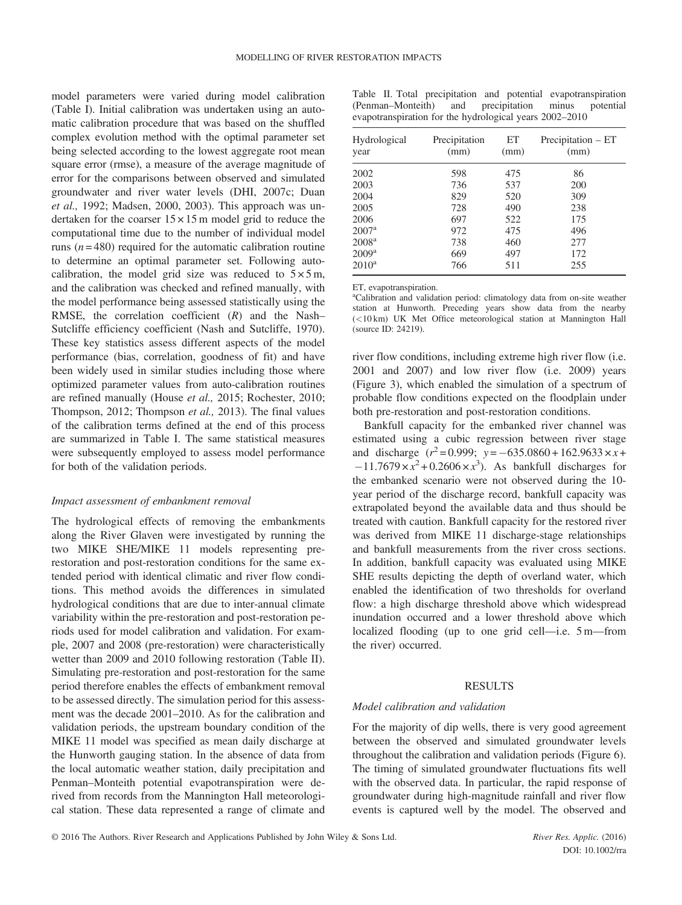model parameters were varied during model calibration (Table I). Initial calibration was undertaken using an automatic calibration procedure that was based on the shuffled complex evolution method with the optimal parameter set being selected according to the lowest aggregate root mean square error (rmse), a measure of the average magnitude of error for the comparisons between observed and simulated groundwater and river water levels (DHI, 2007c; Duan et al., 1992; Madsen, 2000, 2003). This approach was undertaken for the coarser  $15 \times 15$  m model grid to reduce the computational time due to the number of individual model runs ( $n = 480$ ) required for the automatic calibration routine to determine an optimal parameter set. Following autocalibration, the model grid size was reduced to  $5 \times 5$  m, and the calibration was checked and refined manually, with the model performance being assessed statistically using the RMSE, the correlation coefficient  $(R)$  and the Nash– Sutcliffe efficiency coefficient (Nash and Sutcliffe, 1970). These key statistics assess different aspects of the model performance (bias, correlation, goodness of fit) and have been widely used in similar studies including those where optimized parameter values from auto-calibration routines are refined manually (House et al., 2015; Rochester, 2010; Thompson, 2012; Thompson et al., 2013). The final values of the calibration terms defined at the end of this process are summarized in Table I. The same statistical measures were subsequently employed to assess model performance for both of the validation periods.

#### Impact assessment of embankment removal

The hydrological effects of removing the embankments along the River Glaven were investigated by running the two MIKE SHE/MIKE 11 models representing prerestoration and post-restoration conditions for the same extended period with identical climatic and river flow conditions. This method avoids the differences in simulated hydrological conditions that are due to inter-annual climate variability within the pre-restoration and post-restoration periods used for model calibration and validation. For example, 2007 and 2008 (pre-restoration) were characteristically wetter than 2009 and 2010 following restoration (Table II). Simulating pre-restoration and post-restoration for the same period therefore enables the effects of embankment removal to be assessed directly. The simulation period for this assessment was the decade 2001–2010. As for the calibration and validation periods, the upstream boundary condition of the MIKE 11 model was specified as mean daily discharge at the Hunworth gauging station. In the absence of data from the local automatic weather station, daily precipitation and Penman–Monteith potential evapotranspiration were derived from records from the Mannington Hall meteorological station. These data represented a range of climate and Table II. Total precipitation and potential evapotranspiration (Penman–Monteith) and precipitation minus evapotranspiration for the hydrological years 2002–2010

| Hydrological<br>year | Precipitation<br>(mm) | ET<br>(mm) | Precipitation - ET<br>(mm) |
|----------------------|-----------------------|------------|----------------------------|
| 2002                 | 598                   | 475        | 86                         |
| 2003                 | 736                   | 537        | 200                        |
| 2004                 | 829                   | 520        | 309                        |
| 2005                 | 728                   | 490        | 238                        |
| 2006                 | 697                   | 522        | 175                        |
| 2007 <sup>a</sup>    | 972                   | 475        | 496                        |
| 2008 <sup>a</sup>    | 738                   | 460        | 277                        |
| 2009 <sup>a</sup>    | 669                   | 497        | 172                        |
| $2010^a$             | 766                   | 511        | 255                        |

ET, evapotranspiration.

<sup>a</sup>Calibration and validation period: climatology data from on-site weather station at Hunworth. Preceding years show data from the nearby (<10 km) UK Met Office meteorological station at Mannington Hall (source ID: 24219).

river flow conditions, including extreme high river flow (i.e. 2001 and 2007) and low river flow (i.e. 2009) years (Figure 3), which enabled the simulation of a spectrum of probable flow conditions expected on the floodplain under both pre-restoration and post-restoration conditions.

Bankfull capacity for the embanked river channel was estimated using a cubic regression between river stage and discharge  $(r^2 = 0.999; y = -635.0860 + 162.9633 \times x +$  $-11.7679 \times x^2 + 0.2606 \times x^3$ . As bankfull discharges for the embanked scenario were not observed during the 10 year period of the discharge record, bankfull capacity was extrapolated beyond the available data and thus should be treated with caution. Bankfull capacity for the restored river was derived from MIKE 11 discharge-stage relationships and bankfull measurements from the river cross sections. In addition, bankfull capacity was evaluated using MIKE SHE results depicting the depth of overland water, which enabled the identification of two thresholds for overland flow: a high discharge threshold above which widespread inundation occurred and a lower threshold above which localized flooding (up to one grid cell—i.e. 5 m—from the river) occurred.

### RESULTS

#### Model calibration and validation

For the majority of dip wells, there is very good agreement between the observed and simulated groundwater levels throughout the calibration and validation periods (Figure 6). The timing of simulated groundwater fluctuations fits well with the observed data. In particular, the rapid response of groundwater during high-magnitude rainfall and river flow events is captured well by the model. The observed and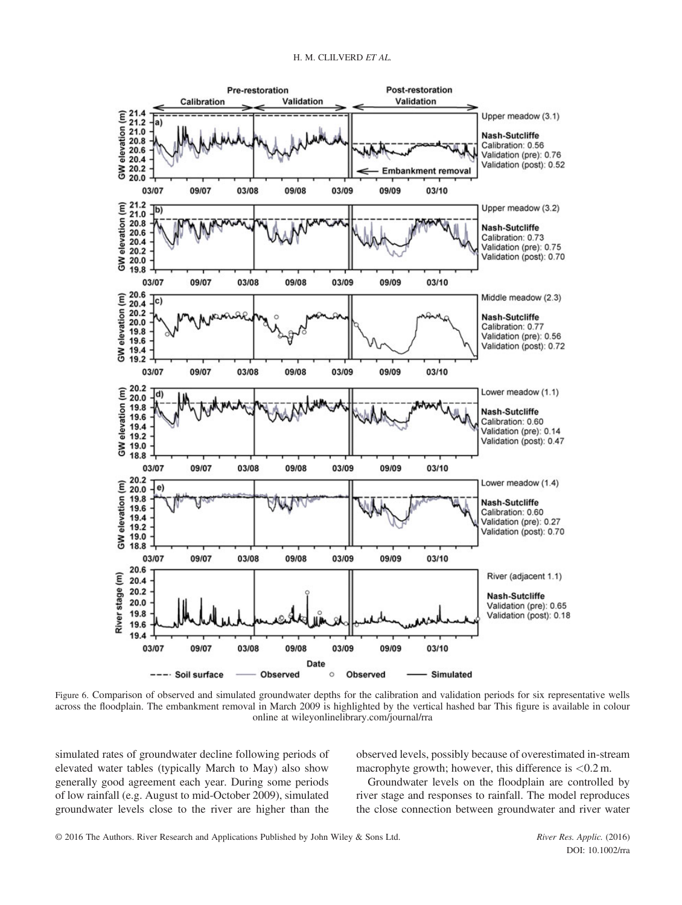

Figure 6. Comparison of observed and simulated groundwater depths for the calibration and validation periods for six representative wells across the floodplain. The embankment removal in March 2009 is highlighted by the vertical hashed bar This figure is available in colour online at wileyonlinelibrary.com/journal/rra

simulated rates of groundwater decline following periods of elevated water tables (typically March to May) also show generally good agreement each year. During some periods of low rainfall (e.g. August to mid-October 2009), simulated groundwater levels close to the river are higher than the observed levels, possibly because of overestimated in-stream macrophyte growth; however, this difference is  $< 0.2$  m.

Groundwater levels on the floodplain are controlled by river stage and responses to rainfall. The model reproduces the close connection between groundwater and river water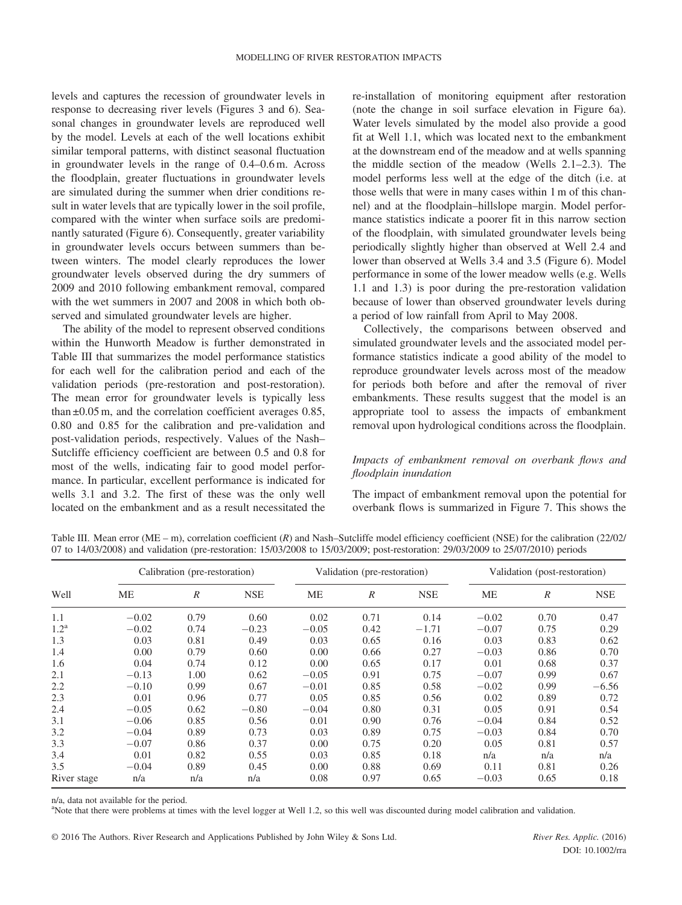levels and captures the recession of groundwater levels in response to decreasing river levels (Figures 3 and 6). Seasonal changes in groundwater levels are reproduced well by the model. Levels at each of the well locations exhibit similar temporal patterns, with distinct seasonal fluctuation in groundwater levels in the range of 0.4–0.6 m. Across the floodplain, greater fluctuations in groundwater levels are simulated during the summer when drier conditions result in water levels that are typically lower in the soil profile, compared with the winter when surface soils are predominantly saturated (Figure 6). Consequently, greater variability in groundwater levels occurs between summers than between winters. The model clearly reproduces the lower groundwater levels observed during the dry summers of 2009 and 2010 following embankment removal, compared with the wet summers in 2007 and 2008 in which both observed and simulated groundwater levels are higher.

The ability of the model to represent observed conditions within the Hunworth Meadow is further demonstrated in Table III that summarizes the model performance statistics for each well for the calibration period and each of the validation periods (pre-restoration and post-restoration). The mean error for groundwater levels is typically less than ±0.05 m, and the correlation coefficient averages 0.85, 0.80 and 0.85 for the calibration and pre-validation and post-validation periods, respectively. Values of the Nash– Sutcliffe efficiency coefficient are between 0.5 and 0.8 for most of the wells, indicating fair to good model performance. In particular, excellent performance is indicated for wells 3.1 and 3.2. The first of these was the only well located on the embankment and as a result necessitated the re-installation of monitoring equipment after restoration (note the change in soil surface elevation in Figure 6a). Water levels simulated by the model also provide a good fit at Well 1.1, which was located next to the embankment at the downstream end of the meadow and at wells spanning the middle section of the meadow (Wells 2.1–2.3). The model performs less well at the edge of the ditch (i.e. at those wells that were in many cases within 1 m of this channel) and at the floodplain–hillslope margin. Model performance statistics indicate a poorer fit in this narrow section of the floodplain, with simulated groundwater levels being periodically slightly higher than observed at Well 2.4 and lower than observed at Wells 3.4 and 3.5 (Figure 6). Model performance in some of the lower meadow wells (e.g. Wells 1.1 and 1.3) is poor during the pre-restoration validation because of lower than observed groundwater levels during a period of low rainfall from April to May 2008.

Collectively, the comparisons between observed and simulated groundwater levels and the associated model performance statistics indicate a good ability of the model to reproduce groundwater levels across most of the meadow for periods both before and after the removal of river embankments. These results suggest that the model is an appropriate tool to assess the impacts of embankment removal upon hydrological conditions across the floodplain.

## Impacts of embankment removal on overbank flows and floodplain inundation

The impact of embankment removal upon the potential for overbank flows is summarized in Figure 7. This shows the

Well Calibration (pre-restoration) Validation (pre-restoration) Validation (post-restoration)  $ME$  R NSE ME R NSE ME R NSE  $1.1 \t -0.02 \t 0.79 \t 0.60 \t 0.02 \t 0.71 \t 0.14 \t -0.02 \t 0.70 \t 0.47$  $1.2<sup>a</sup>$   $-0.02$   $0.74$   $-0.23$   $-0.05$   $0.42$   $-1.71$   $-0.07$   $0.75$   $0.29$ 1.3 0.03 0.81 0.49 0.03 0.65 0.16 0.03 0.83 0.62  $1.4$  0.00 0.79 0.60 0.00 0.66 0.27 -0.03 0.86 0.70 1.6 0.04 0.74 0.12 0.00 0.65 0.17 0.01 0.68 0.37 2.1  $-0.13$  1.00  $0.62$   $-0.05$  0.91  $0.75$   $-0.07$  0.99  $0.67$ 2.2  $-0.10$   $0.99$   $0.67$   $-0.01$   $0.85$   $0.58$   $-0.02$   $0.99$   $-6.56$ 2.3 0.01 0.96 0.77 0.05 0.85 0.56 0.02 0.89 0.72 2.4  $-0.05$   $0.62$   $-0.80$   $-0.04$   $0.80$   $0.31$   $0.05$   $0.91$   $0.54$  $3.1$   $-0.06$   $0.85$   $0.56$   $0.01$   $0.90$   $0.76$   $-0.04$   $0.84$   $0.52$  $3.2$   $-0.04$   $0.89$   $0.73$   $0.03$   $0.89$   $0.75$   $-0.03$   $0.84$   $0.70$ 3.3 0.07 0.86 0.37 0.00 0.75 0.20 0.05 0.81 0.57 3.4 0.01 0.82 0.55 0.03 0.85 0.18 n/a n/a n/a 3.5 0.04 0.89 0.45 0.00 0.88 0.69 0.11 0.81 0.26 River stage  $n/a$   $n/a$   $n/a$   $0.08$   $0.97$   $0.65$   $-0.03$   $0.65$   $0.18$ 

Table III. Mean error (ME – m), correlation coefficient (R) and Nash–Sutcliffe model efficiency coefficient (NSE) for the calibration (22/02/ 07 to 14/03/2008) and validation (pre-restoration: 15/03/2008 to 15/03/2009; post-restoration: 29/03/2009 to 25/07/2010) periods

n/a, data not available for the period.

a Note that there were problems at times with the level logger at Well 1.2, so this well was discounted during model calibration and validation.

© 2016 The Authors. River Research and Applications Published by John Wiley & Sons Ltd. River Res. Applic. (2016)

DOI: 10.1002/rra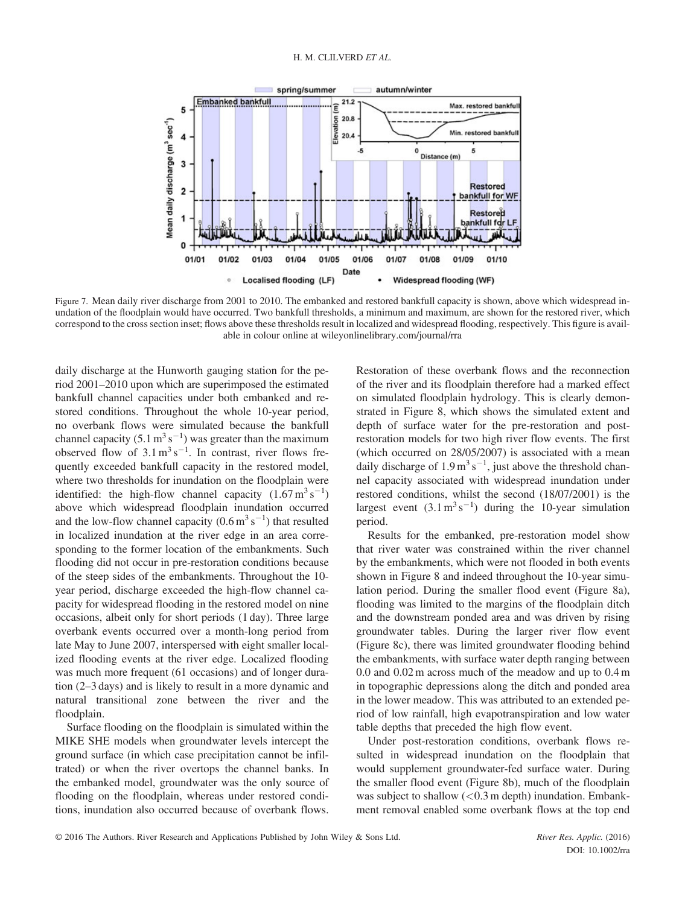

Figure 7. Mean daily river discharge from 2001 to 2010. The embanked and restored bankfull capacity is shown, above which widespread inundation of the floodplain would have occurred. Two bankfull thresholds, a minimum and maximum, are shown for the restored river, which correspond to the cross section inset; flows above these thresholds result in localized and widespread flooding, respectively. This figure is available in colour online at wileyonlinelibrary.com/journal/rra

daily discharge at the Hunworth gauging station for the period 2001–2010 upon which are superimposed the estimated bankfull channel capacities under both embanked and restored conditions. Throughout the whole 10-year period, no overbank flows were simulated because the bankfull channel capacity  $(5.1 \text{ m}^3 \text{ s}^{-1})$  was greater than the maximum observed flow of  $3.1 \text{ m}^3 \text{ s}^{-1}$ . In contrast, river flows frequently exceeded bankfull capacity in the restored model, where two thresholds for inundation on the floodplain were identified: the high-flow channel capacity  $(1.67 \text{ m}^3 \text{ s}^{-1})$ above which widespread floodplain inundation occurred and the low-flow channel capacity  $(0.6 \text{ m}^3 \text{ s}^{-1})$  that resulted in localized inundation at the river edge in an area corresponding to the former location of the embankments. Such flooding did not occur in pre-restoration conditions because of the steep sides of the embankments. Throughout the 10 year period, discharge exceeded the high-flow channel capacity for widespread flooding in the restored model on nine occasions, albeit only for short periods (1 day). Three large overbank events occurred over a month-long period from late May to June 2007, interspersed with eight smaller localized flooding events at the river edge. Localized flooding was much more frequent (61 occasions) and of longer duration (2–3 days) and is likely to result in a more dynamic and natural transitional zone between the river and the floodplain.

Surface flooding on the floodplain is simulated within the MIKE SHE models when groundwater levels intercept the ground surface (in which case precipitation cannot be infiltrated) or when the river overtops the channel banks. In the embanked model, groundwater was the only source of flooding on the floodplain, whereas under restored conditions, inundation also occurred because of overbank flows. Restoration of these overbank flows and the reconnection of the river and its floodplain therefore had a marked effect on simulated floodplain hydrology. This is clearly demonstrated in Figure 8, which shows the simulated extent and depth of surface water for the pre-restoration and postrestoration models for two high river flow events. The first (which occurred on 28/05/2007) is associated with a mean daily discharge of  $1.9 \,\mathrm{m^3\,s^{-1}}$ , just above the threshold channel capacity associated with widespread inundation under restored conditions, whilst the second (18/07/2001) is the largest event  $(3.1 \text{ m}^3 \text{ s}^{-1})$  during the 10-year simulation period.

Results for the embanked, pre-restoration model show that river water was constrained within the river channel by the embankments, which were not flooded in both events shown in Figure 8 and indeed throughout the 10-year simulation period. During the smaller flood event (Figure 8a), flooding was limited to the margins of the floodplain ditch and the downstream ponded area and was driven by rising groundwater tables. During the larger river flow event (Figure 8c), there was limited groundwater flooding behind the embankments, with surface water depth ranging between 0.0 and 0.02 m across much of the meadow and up to 0.4 m in topographic depressions along the ditch and ponded area in the lower meadow. This was attributed to an extended period of low rainfall, high evapotranspiration and low water table depths that preceded the high flow event.

Under post-restoration conditions, overbank flows resulted in widespread inundation on the floodplain that would supplement groundwater-fed surface water. During the smaller flood event (Figure 8b), much of the floodplain was subject to shallow  $(< 0.3$  m depth) inundation. Embankment removal enabled some overbank flows at the top end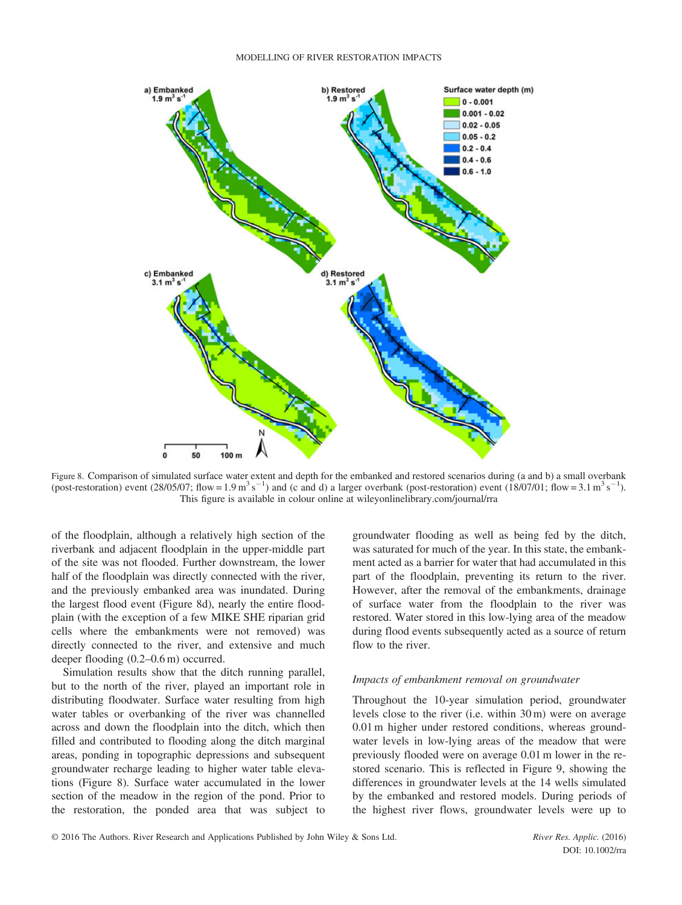

Figure 8. Comparison of simulated surface water extent and depth for the embanked and restored scenarios during (a and b) a small overbank (post-restoration) event (28/05/07; flow = 1.9 m<sup>3</sup> s<sup>-1</sup>) and (c and d) a larger overbank (post-restoration) event (18/07/01; flow = 3.1 m<sup>3</sup> s<sup>-1</sup>). This figure is available in colour online at wileyonlinelibrary.com/journal/rra

of the floodplain, although a relatively high section of the riverbank and adjacent floodplain in the upper-middle part of the site was not flooded. Further downstream, the lower half of the floodplain was directly connected with the river, and the previously embanked area was inundated. During the largest flood event (Figure 8d), nearly the entire floodplain (with the exception of a few MIKE SHE riparian grid cells where the embankments were not removed) was directly connected to the river, and extensive and much deeper flooding (0.2–0.6 m) occurred.

Simulation results show that the ditch running parallel, but to the north of the river, played an important role in distributing floodwater. Surface water resulting from high water tables or overbanking of the river was channelled across and down the floodplain into the ditch, which then filled and contributed to flooding along the ditch marginal areas, ponding in topographic depressions and subsequent groundwater recharge leading to higher water table elevations (Figure 8). Surface water accumulated in the lower section of the meadow in the region of the pond. Prior to the restoration, the ponded area that was subject to groundwater flooding as well as being fed by the ditch, was saturated for much of the year. In this state, the embankment acted as a barrier for water that had accumulated in this part of the floodplain, preventing its return to the river. However, after the removal of the embankments, drainage of surface water from the floodplain to the river was restored. Water stored in this low-lying area of the meadow during flood events subsequently acted as a source of return flow to the river.

#### Impacts of embankment removal on groundwater

Throughout the 10-year simulation period, groundwater levels close to the river (i.e. within 30 m) were on average 0.01 m higher under restored conditions, whereas groundwater levels in low-lying areas of the meadow that were previously flooded were on average 0.01 m lower in the restored scenario. This is reflected in Figure 9, showing the differences in groundwater levels at the 14 wells simulated by the embanked and restored models. During periods of the highest river flows, groundwater levels were up to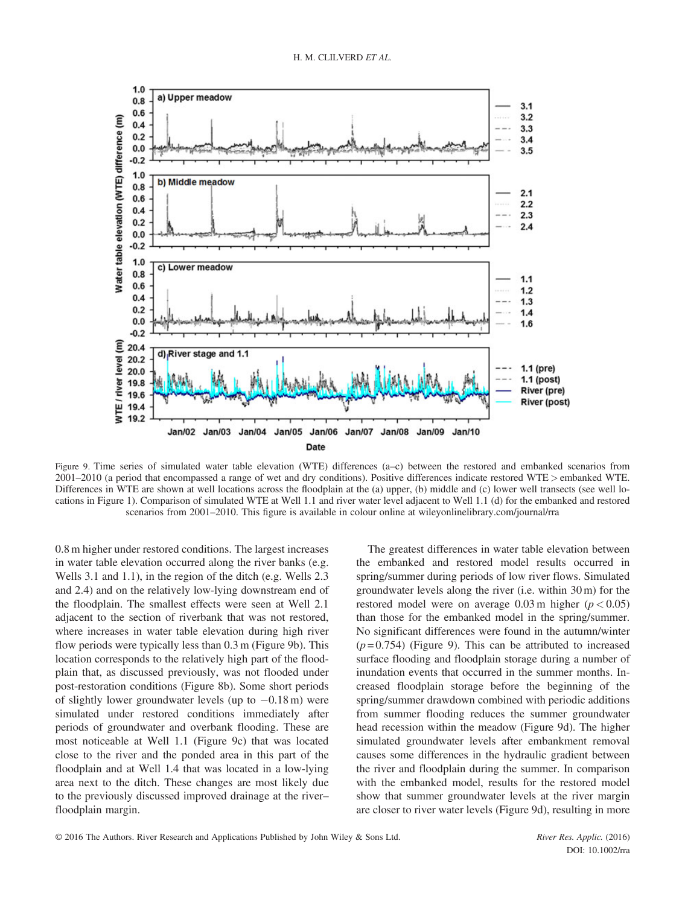

Figure 9. Time series of simulated water table elevation (WTE) differences (a–c) between the restored and embanked scenarios from 2001–2010 (a period that encompassed a range of wet and dry conditions). Positive differences indicate restored WTE > embanked WTE. Differences in WTE are shown at well locations across the floodplain at the (a) upper, (b) middle and (c) lower well transects (see well locations in Figure 1). Comparison of simulated WTE at Well 1.1 and river water level adjacent to Well 1.1 (d) for the embanked and restored scenarios from 2001–2010. This figure is available in colour online at wileyonlinelibrary.com/journal/rra

0.8 m higher under restored conditions. The largest increases in water table elevation occurred along the river banks (e.g. Wells 3.1 and 1.1), in the region of the ditch (e.g. Wells 2.3 and 2.4) and on the relatively low-lying downstream end of the floodplain. The smallest effects were seen at Well 2.1 adjacent to the section of riverbank that was not restored, where increases in water table elevation during high river flow periods were typically less than 0.3 m (Figure 9b). This location corresponds to the relatively high part of the floodplain that, as discussed previously, was not flooded under post-restoration conditions (Figure 8b). Some short periods of slightly lower groundwater levels (up to  $-0.18$  m) were simulated under restored conditions immediately after periods of groundwater and overbank flooding. These are most noticeable at Well 1.1 (Figure 9c) that was located close to the river and the ponded area in this part of the floodplain and at Well 1.4 that was located in a low-lying area next to the ditch. These changes are most likely due to the previously discussed improved drainage at the river– floodplain margin.

The greatest differences in water table elevation between the embanked and restored model results occurred in spring/summer during periods of low river flows. Simulated groundwater levels along the river (i.e. within 30 m) for the restored model were on average  $0.03$  m higher ( $p < 0.05$ ) than those for the embanked model in the spring/summer. No significant differences were found in the autumn/winter  $(p=0.754)$  (Figure 9). This can be attributed to increased surface flooding and floodplain storage during a number of inundation events that occurred in the summer months. Increased floodplain storage before the beginning of the spring/summer drawdown combined with periodic additions from summer flooding reduces the summer groundwater head recession within the meadow (Figure 9d). The higher simulated groundwater levels after embankment removal causes some differences in the hydraulic gradient between the river and floodplain during the summer. In comparison with the embanked model, results for the restored model show that summer groundwater levels at the river margin are closer to river water levels (Figure 9d), resulting in more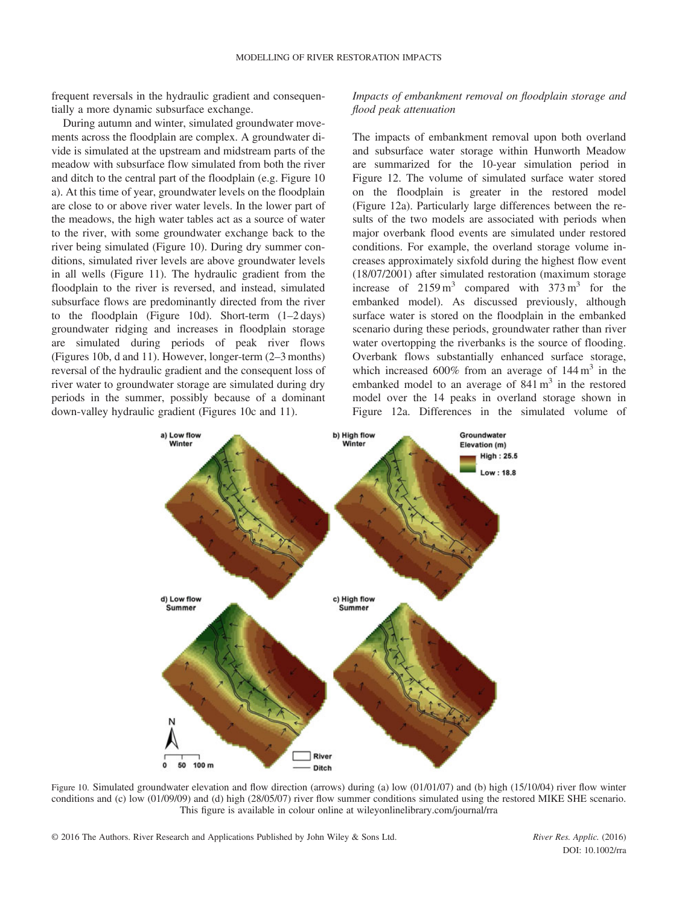frequent reversals in the hydraulic gradient and consequentially a more dynamic subsurface exchange.

During autumn and winter, simulated groundwater movements across the floodplain are complex. A groundwater divide is simulated at the upstream and midstream parts of the meadow with subsurface flow simulated from both the river and ditch to the central part of the floodplain (e.g. Figure 10 a). At this time of year, groundwater levels on the floodplain are close to or above river water levels. In the lower part of the meadows, the high water tables act as a source of water to the river, with some groundwater exchange back to the river being simulated (Figure 10). During dry summer conditions, simulated river levels are above groundwater levels in all wells (Figure 11). The hydraulic gradient from the floodplain to the river is reversed, and instead, simulated subsurface flows are predominantly directed from the river to the floodplain (Figure 10d). Short-term (1–2 days) groundwater ridging and increases in floodplain storage are simulated during periods of peak river flows (Figures 10b, d and 11). However, longer-term (2–3 months) reversal of the hydraulic gradient and the consequent loss of river water to groundwater storage are simulated during dry periods in the summer, possibly because of a dominant down-valley hydraulic gradient (Figures 10c and 11).

Impacts of embankment removal on floodplain storage and flood peak attenuation

The impacts of embankment removal upon both overland and subsurface water storage within Hunworth Meadow are summarized for the 10-year simulation period in Figure 12. The volume of simulated surface water stored on the floodplain is greater in the restored model (Figure 12a). Particularly large differences between the results of the two models are associated with periods when major overbank flood events are simulated under restored conditions. For example, the overland storage volume increases approximately sixfold during the highest flow event (18/07/2001) after simulated restoration (maximum storage increase of  $2159 \text{ m}^3$  compared with  $373 \text{ m}^3$  for the embanked model). As discussed previously, although surface water is stored on the floodplain in the embanked scenario during these periods, groundwater rather than river water overtopping the riverbanks is the source of flooding. Overbank flows substantially enhanced surface storage, which increased 600% from an average of  $144 \text{ m}^3$  in the embanked model to an average of  $841 \text{ m}^3$  in the restored model over the 14 peaks in overland storage shown in Figure 12a. Differences in the simulated volume of



Figure 10. Simulated groundwater elevation and flow direction (arrows) during (a) low (01/01/07) and (b) high (15/10/04) river flow winter conditions and (c) low (01/09/09) and (d) high (28/05/07) river flow summer conditions simulated using the restored MIKE SHE scenario. This figure is available in colour online at wileyonlinelibrary.com/journal/rra

DOI: 10.1002/rra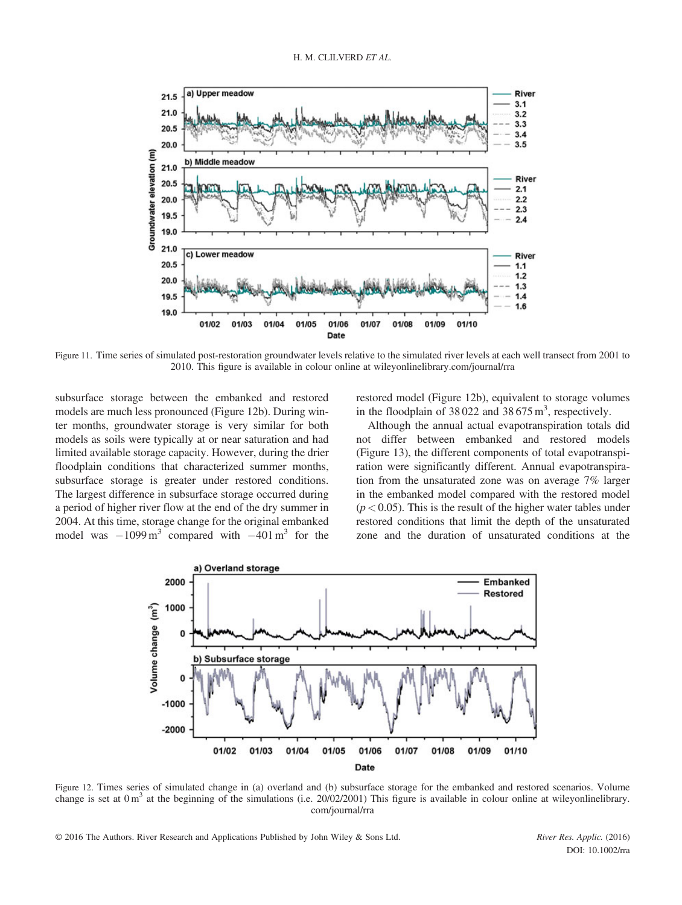

Figure 11. Time series of simulated post-restoration groundwater levels relative to the simulated river levels at each well transect from 2001 to 2010. This figure is available in colour online at wileyonlinelibrary.com/journal/rra

subsurface storage between the embanked and restored models are much less pronounced (Figure 12b). During winter months, groundwater storage is very similar for both models as soils were typically at or near saturation and had limited available storage capacity. However, during the drier floodplain conditions that characterized summer months, subsurface storage is greater under restored conditions. The largest difference in subsurface storage occurred during a period of higher river flow at the end of the dry summer in 2004. At this time, storage change for the original embanked model was  $-1099 \text{ m}^3$  compared with  $-401 \text{ m}^3$  for the restored model (Figure 12b), equivalent to storage volumes in the floodplain of  $38022$  and  $38675 \text{ m}^3$ , respectively.

Although the annual actual evapotranspiration totals did not differ between embanked and restored models (Figure 13), the different components of total evapotranspiration were significantly different. Annual evapotranspiration from the unsaturated zone was on average 7% larger in the embanked model compared with the restored model  $(p < 0.05)$ . This is the result of the higher water tables under restored conditions that limit the depth of the unsaturated zone and the duration of unsaturated conditions at the



Figure 12. Times series of simulated change in (a) overland and (b) subsurface storage for the embanked and restored scenarios. Volume change is set at  $0 \text{ m}^3$  at the beginning of the simulations (i.e. 20/02/2001) This figure is available in colour online at wileyonlinelibrary. com/journal/rra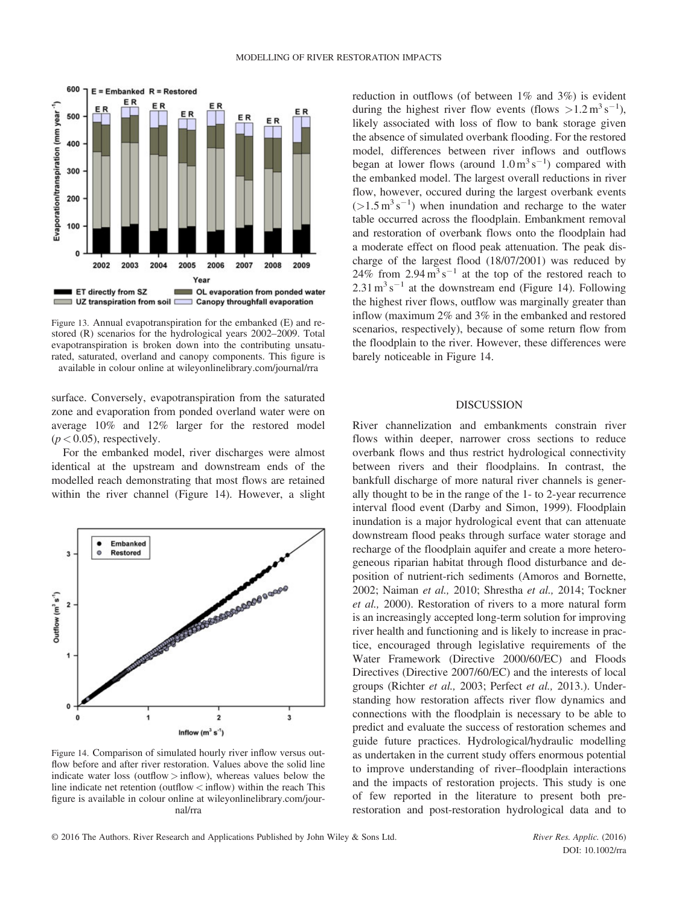

Figure 13. Annual evapotranspiration for the embanked (E) and restored (R) scenarios for the hydrological years 2002–2009. Total evapotranspiration is broken down into the contributing unsaturated, saturated, overland and canopy components. This figure is available in colour online at wileyonlinelibrary.com/journal/rra

surface. Conversely, evapotranspiration from the saturated zone and evaporation from ponded overland water were on average 10% and 12% larger for the restored model  $(p < 0.05)$ , respectively.

For the embanked model, river discharges were almost identical at the upstream and downstream ends of the modelled reach demonstrating that most flows are retained within the river channel (Figure 14). However, a slight



Figure 14. Comparison of simulated hourly river inflow versus outflow before and after river restoration. Values above the solid line indicate water loss (outflow  $>$  inflow), whereas values below the line indicate net retention (outflow  $\langle$  inflow) within the reach This figure is available in colour online at wileyonlinelibrary.com/journal/rra

reduction in outflows (of between 1% and 3%) is evident during the highest river flow events (flows  $>1.2 \text{ m}^3 \text{ s}^{-1}$ ), likely associated with loss of flow to bank storage given the absence of simulated overbank flooding. For the restored model, differences between river inflows and outflows began at lower flows (around  $1.0 \text{ m}^3 \text{ s}^{-1}$ ) compared with the embanked model. The largest overall reductions in river flow, however, occured during the largest overbank events  $(>1.5 \text{ m}^3 \text{ s}^{-1})$  when inundation and recharge to the water table occurred across the floodplain. Embankment removal and restoration of overbank flows onto the floodplain had a moderate effect on flood peak attenuation. The peak discharge of the largest flood (18/07/2001) was reduced by 24% from  $2.94 \text{ m}^3 \text{ s}^{-1}$  at the top of the restored reach to  $2.31 \text{ m}^3 \text{ s}^{-1}$  at the downstream end (Figure 14). Following the highest river flows, outflow was marginally greater than inflow (maximum 2% and 3% in the embanked and restored scenarios, respectively), because of some return flow from the floodplain to the river. However, these differences were barely noticeable in Figure 14.

## DISCUSSION

River channelization and embankments constrain river flows within deeper, narrower cross sections to reduce overbank flows and thus restrict hydrological connectivity between rivers and their floodplains. In contrast, the bankfull discharge of more natural river channels is generally thought to be in the range of the 1- to 2-year recurrence interval flood event (Darby and Simon, 1999). Floodplain inundation is a major hydrological event that can attenuate downstream flood peaks through surface water storage and recharge of the floodplain aquifer and create a more heterogeneous riparian habitat through flood disturbance and deposition of nutrient-rich sediments (Amoros and Bornette, 2002; Naiman et al., 2010; Shrestha et al., 2014; Tockner et al., 2000). Restoration of rivers to a more natural form is an increasingly accepted long-term solution for improving river health and functioning and is likely to increase in practice, encouraged through legislative requirements of the Water Framework (Directive 2000/60/EC) and Floods Directives (Directive 2007/60/EC) and the interests of local groups (Richter et al., 2003; Perfect et al., 2013.). Understanding how restoration affects river flow dynamics and connections with the floodplain is necessary to be able to predict and evaluate the success of restoration schemes and guide future practices. Hydrological/hydraulic modelling as undertaken in the current study offers enormous potential to improve understanding of river–floodplain interactions and the impacts of restoration projects. This study is one of few reported in the literature to present both prerestoration and post-restoration hydrological data and to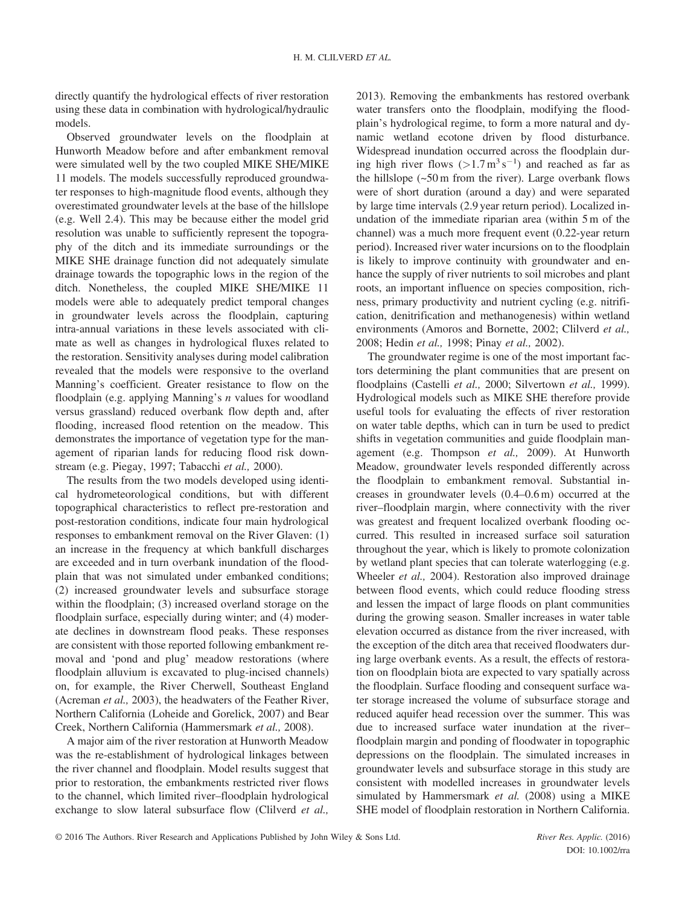directly quantify the hydrological effects of river restoration using these data in combination with hydrological/hydraulic models.

Observed groundwater levels on the floodplain at Hunworth Meadow before and after embankment removal were simulated well by the two coupled MIKE SHE/MIKE 11 models. The models successfully reproduced groundwater responses to high-magnitude flood events, although they overestimated groundwater levels at the base of the hillslope (e.g. Well 2.4). This may be because either the model grid resolution was unable to sufficiently represent the topography of the ditch and its immediate surroundings or the MIKE SHE drainage function did not adequately simulate drainage towards the topographic lows in the region of the ditch. Nonetheless, the coupled MIKE SHE/MIKE 11 models were able to adequately predict temporal changes in groundwater levels across the floodplain, capturing intra-annual variations in these levels associated with climate as well as changes in hydrological fluxes related to the restoration. Sensitivity analyses during model calibration revealed that the models were responsive to the overland Manning's coefficient. Greater resistance to flow on the floodplain (e.g. applying Manning's n values for woodland versus grassland) reduced overbank flow depth and, after flooding, increased flood retention on the meadow. This demonstrates the importance of vegetation type for the management of riparian lands for reducing flood risk downstream (e.g. Piegay, 1997; Tabacchi et al., 2000).

The results from the two models developed using identical hydrometeorological conditions, but with different topographical characteristics to reflect pre-restoration and post-restoration conditions, indicate four main hydrological responses to embankment removal on the River Glaven: (1) an increase in the frequency at which bankfull discharges are exceeded and in turn overbank inundation of the floodplain that was not simulated under embanked conditions; (2) increased groundwater levels and subsurface storage within the floodplain; (3) increased overland storage on the floodplain surface, especially during winter; and (4) moderate declines in downstream flood peaks. These responses are consistent with those reported following embankment removal and 'pond and plug' meadow restorations (where floodplain alluvium is excavated to plug-incised channels) on, for example, the River Cherwell, Southeast England (Acreman et al., 2003), the headwaters of the Feather River, Northern California (Loheide and Gorelick, 2007) and Bear Creek, Northern California (Hammersmark et al., 2008).

A major aim of the river restoration at Hunworth Meadow was the re-establishment of hydrological linkages between the river channel and floodplain. Model results suggest that prior to restoration, the embankments restricted river flows to the channel, which limited river–floodplain hydrological exchange to slow lateral subsurface flow (Clilverd et al., 2013). Removing the embankments has restored overbank water transfers onto the floodplain, modifying the floodplain's hydrological regime, to form a more natural and dynamic wetland ecotone driven by flood disturbance. Widespread inundation occurred across the floodplain during high river flows  $(>1.7 \text{ m}^3 \text{ s}^{-1})$  and reached as far as the hillslope (~50 m from the river). Large overbank flows were of short duration (around a day) and were separated by large time intervals (2.9 year return period). Localized inundation of the immediate riparian area (within 5 m of the channel) was a much more frequent event (0.22-year return period). Increased river water incursions on to the floodplain is likely to improve continuity with groundwater and enhance the supply of river nutrients to soil microbes and plant roots, an important influence on species composition, richness, primary productivity and nutrient cycling (e.g. nitrification, denitrification and methanogenesis) within wetland environments (Amoros and Bornette, 2002; Clilverd et al., 2008; Hedin et al., 1998; Pinay et al., 2002).

The groundwater regime is one of the most important factors determining the plant communities that are present on floodplains (Castelli et al., 2000; Silvertown et al., 1999). Hydrological models such as MIKE SHE therefore provide useful tools for evaluating the effects of river restoration on water table depths, which can in turn be used to predict shifts in vegetation communities and guide floodplain management (e.g. Thompson et al., 2009). At Hunworth Meadow, groundwater levels responded differently across the floodplain to embankment removal. Substantial increases in groundwater levels (0.4–0.6 m) occurred at the river–floodplain margin, where connectivity with the river was greatest and frequent localized overbank flooding occurred. This resulted in increased surface soil saturation throughout the year, which is likely to promote colonization by wetland plant species that can tolerate waterlogging (e.g. Wheeler et al., 2004). Restoration also improved drainage between flood events, which could reduce flooding stress and lessen the impact of large floods on plant communities during the growing season. Smaller increases in water table elevation occurred as distance from the river increased, with the exception of the ditch area that received floodwaters during large overbank events. As a result, the effects of restoration on floodplain biota are expected to vary spatially across the floodplain. Surface flooding and consequent surface water storage increased the volume of subsurface storage and reduced aquifer head recession over the summer. This was due to increased surface water inundation at the river– floodplain margin and ponding of floodwater in topographic depressions on the floodplain. The simulated increases in groundwater levels and subsurface storage in this study are consistent with modelled increases in groundwater levels simulated by Hammersmark et al. (2008) using a MIKE SHE model of floodplain restoration in Northern California.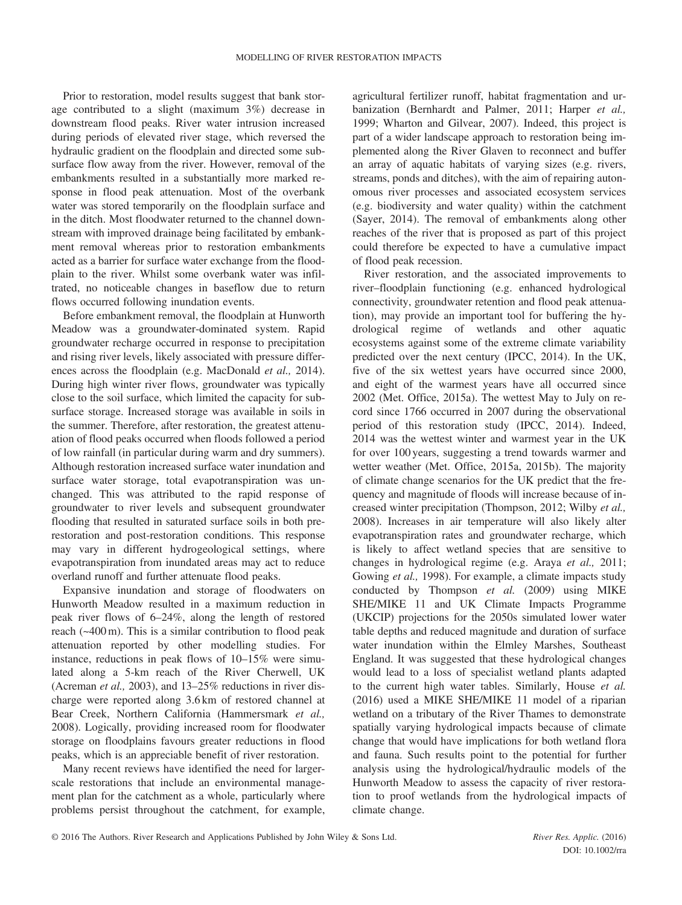Prior to restoration, model results suggest that bank storage contributed to a slight (maximum 3%) decrease in downstream flood peaks. River water intrusion increased during periods of elevated river stage, which reversed the hydraulic gradient on the floodplain and directed some subsurface flow away from the river. However, removal of the embankments resulted in a substantially more marked response in flood peak attenuation. Most of the overbank water was stored temporarily on the floodplain surface and in the ditch. Most floodwater returned to the channel downstream with improved drainage being facilitated by embankment removal whereas prior to restoration embankments acted as a barrier for surface water exchange from the floodplain to the river. Whilst some overbank water was infiltrated, no noticeable changes in baseflow due to return flows occurred following inundation events.

Before embankment removal, the floodplain at Hunworth Meadow was a groundwater-dominated system. Rapid groundwater recharge occurred in response to precipitation and rising river levels, likely associated with pressure differences across the floodplain (e.g. MacDonald et al., 2014). During high winter river flows, groundwater was typically close to the soil surface, which limited the capacity for subsurface storage. Increased storage was available in soils in the summer. Therefore, after restoration, the greatest attenuation of flood peaks occurred when floods followed a period of low rainfall (in particular during warm and dry summers). Although restoration increased surface water inundation and surface water storage, total evapotranspiration was unchanged. This was attributed to the rapid response of groundwater to river levels and subsequent groundwater flooding that resulted in saturated surface soils in both prerestoration and post-restoration conditions. This response may vary in different hydrogeological settings, where evapotranspiration from inundated areas may act to reduce overland runoff and further attenuate flood peaks.

Expansive inundation and storage of floodwaters on Hunworth Meadow resulted in a maximum reduction in peak river flows of 6–24%, along the length of restored reach (~400 m). This is a similar contribution to flood peak attenuation reported by other modelling studies. For instance, reductions in peak flows of 10–15% were simulated along a 5-km reach of the River Cherwell, UK (Acreman et al., 2003), and 13–25% reductions in river discharge were reported along 3.6 km of restored channel at Bear Creek, Northern California (Hammersmark et al., 2008). Logically, providing increased room for floodwater storage on floodplains favours greater reductions in flood peaks, which is an appreciable benefit of river restoration.

Many recent reviews have identified the need for largerscale restorations that include an environmental management plan for the catchment as a whole, particularly where problems persist throughout the catchment, for example, agricultural fertilizer runoff, habitat fragmentation and urbanization (Bernhardt and Palmer, 2011; Harper et al., 1999; Wharton and Gilvear, 2007). Indeed, this project is part of a wider landscape approach to restoration being implemented along the River Glaven to reconnect and buffer an array of aquatic habitats of varying sizes (e.g. rivers, streams, ponds and ditches), with the aim of repairing autonomous river processes and associated ecosystem services (e.g. biodiversity and water quality) within the catchment (Sayer, 2014). The removal of embankments along other reaches of the river that is proposed as part of this project could therefore be expected to have a cumulative impact of flood peak recession.

River restoration, and the associated improvements to river–floodplain functioning (e.g. enhanced hydrological connectivity, groundwater retention and flood peak attenuation), may provide an important tool for buffering the hydrological regime of wetlands and other aquatic ecosystems against some of the extreme climate variability predicted over the next century (IPCC, 2014). In the UK, five of the six wettest years have occurred since 2000, and eight of the warmest years have all occurred since 2002 (Met. Office, 2015a). The wettest May to July on record since 1766 occurred in 2007 during the observational period of this restoration study (IPCC, 2014). Indeed, 2014 was the wettest winter and warmest year in the UK for over 100 years, suggesting a trend towards warmer and wetter weather (Met. Office, 2015a, 2015b). The majority of climate change scenarios for the UK predict that the frequency and magnitude of floods will increase because of increased winter precipitation (Thompson, 2012; Wilby et al., 2008). Increases in air temperature will also likely alter evapotranspiration rates and groundwater recharge, which is likely to affect wetland species that are sensitive to changes in hydrological regime (e.g. Araya et al., 2011; Gowing et al., 1998). For example, a climate impacts study conducted by Thompson et al. (2009) using MIKE SHE/MIKE 11 and UK Climate Impacts Programme (UKCIP) projections for the 2050s simulated lower water table depths and reduced magnitude and duration of surface water inundation within the Elmley Marshes, Southeast England. It was suggested that these hydrological changes would lead to a loss of specialist wetland plants adapted to the current high water tables. Similarly, House et al. (2016) used a MIKE SHE/MIKE 11 model of a riparian wetland on a tributary of the River Thames to demonstrate spatially varying hydrological impacts because of climate change that would have implications for both wetland flora and fauna. Such results point to the potential for further analysis using the hydrological/hydraulic models of the Hunworth Meadow to assess the capacity of river restoration to proof wetlands from the hydrological impacts of climate change.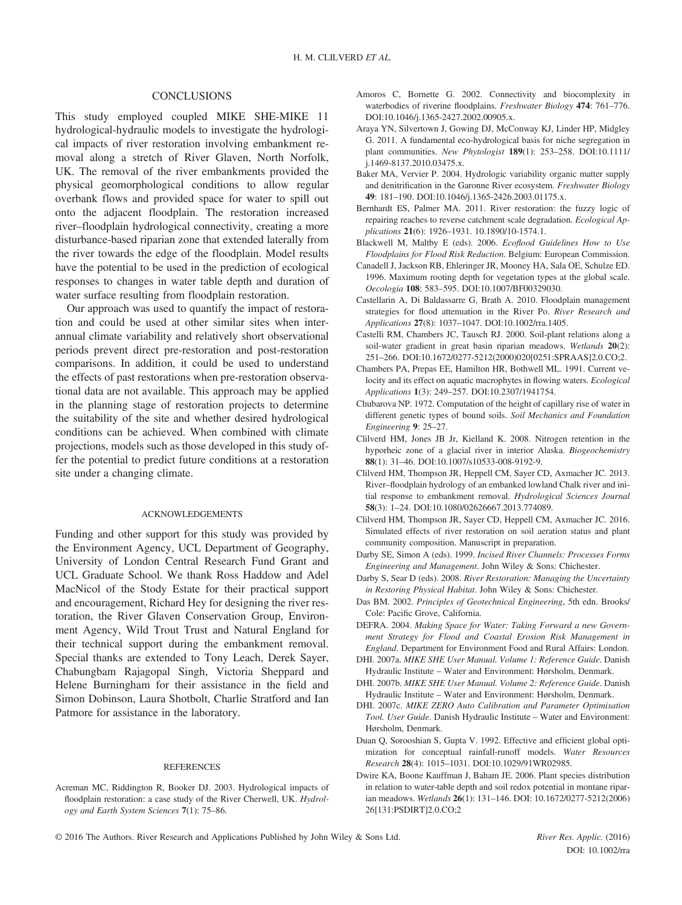#### **CONCLUSIONS**

This study employed coupled MIKE SHE-MIKE 11 hydrological-hydraulic models to investigate the hydrological impacts of river restoration involving embankment removal along a stretch of River Glaven, North Norfolk, UK. The removal of the river embankments provided the physical geomorphological conditions to allow regular overbank flows and provided space for water to spill out onto the adjacent floodplain. The restoration increased river–floodplain hydrological connectivity, creating a more disturbance-based riparian zone that extended laterally from the river towards the edge of the floodplain. Model results have the potential to be used in the prediction of ecological responses to changes in water table depth and duration of water surface resulting from floodplain restoration.

Our approach was used to quantify the impact of restoration and could be used at other similar sites when interannual climate variability and relatively short observational periods prevent direct pre-restoration and post-restoration comparisons. In addition, it could be used to understand the effects of past restorations when pre-restoration observational data are not available. This approach may be applied in the planning stage of restoration projects to determine the suitability of the site and whether desired hydrological conditions can be achieved. When combined with climate projections, models such as those developed in this study offer the potential to predict future conditions at a restoration site under a changing climate.

#### ACKNOWLEDGEMENTS

Funding and other support for this study was provided by the Environment Agency, UCL Department of Geography, University of London Central Research Fund Grant and UCL Graduate School. We thank Ross Haddow and Adel MacNicol of the Stody Estate for their practical support and encouragement, Richard Hey for designing the river restoration, the River Glaven Conservation Group, Environment Agency, Wild Trout Trust and Natural England for their technical support during the embankment removal. Special thanks are extended to Tony Leach, Derek Sayer, Chabungbam Rajagopal Singh, Victoria Sheppard and Helene Burningham for their assistance in the field and Simon Dobinson, Laura Shotbolt, Charlie Stratford and Ian Patmore for assistance in the laboratory.

#### REFERENCES

Acreman MC, Riddington R, Booker DJ. 2003. Hydrological impacts of floodplain restoration: a case study of the River Cherwell, UK. Hydrology and Earth System Sciences 7(1): 75–86.

- Amoros C, Bornette G. 2002. Connectivity and biocomplexity in waterbodies of riverine floodplains. Freshwater Biology 474: 761–776. DOI[:10.1046/j.1365-2427.2002.00905.x.](http://dx.doi.org/10.1046/j.1365-2427.2002.00905.x)
- Araya YN, Silvertown J, Gowing DJ, McConway KJ, Linder HP, Midgley G. 2011. A fundamental eco-hydrological basis for niche segregation in plant communities. New Phytologist 189(1): 253–258. DOI[:10.1111/](http://dx.doi.org/10.1111/j.1469-8137.2010.03475.x) [j.1469-8137.2010.03475.x.](http://dx.doi.org/10.1111/j.1469-8137.2010.03475.x)
- Baker MA, Vervier P. 2004. Hydrologic variability organic matter supply and denitrification in the Garonne River ecosystem. Freshwater Biology 49: 181–190. DOI[:10.1046/j.1365-2426.2003.01175.x.](http://dx.doi.org/10.1046/j.1365-2426.2003.01175.x)
- Bernhardt ES, Palmer MA. 2011. River restoration: the fuzzy logic of repairing reaches to reverse catchment scale degradation. Ecological Applications 21(6): 1926–1931. [10.1890/10-1574.1.](http://dx.doi.org/10.1890/10-1574.1)
- Blackwell M, Maltby E (eds). 2006. Ecoflood Guidelines How to Use Floodplains for Flood Risk Reduction. Belgium: European Commission.
- Canadell J, Jackson RB, Ehleringer JR, Mooney HA, Sala OE, Schulze ED. 1996. Maximum rooting depth for vegetation types at the global scale. Oecologia 108: 583–595. DOI:[10.1007/BF00329030.](http://dx.doi.org/10.1007/BF00329030)
- Castellarin A, Di Baldassarre G, Brath A. 2010. Floodplain management strategies for flood attenuation in the River Po. River Research and Applications 27(8): 1037–1047. DOI:[10.1002/rra.1405.](http://dx.doi.org/10.1002/rra.1405)
- Castelli RM, Chambers JC, Tausch RJ. 2000. Soil-plant relations along a soil-water gradient in great basin riparian meadows. Wetlands 20(2): 251–266. DOI:[10.1672/0277-5212\(2000\)020\[0251:SPRAAS\]2.0.CO;2.](http://dx.doi.org/10.1672/0277-5212(2000)020%5b0251:SPRAAS%5d2.0.CO;2)
- Chambers PA, Prepas EE, Hamilton HR, Bothwell ML. 1991. Current velocity and its effect on aquatic macrophytes in flowing waters. Ecological Applications 1(3): 249–257. DOI:[10.2307/1941754.](http://dx.doi.org/10.2307/1941754)
- Chubarova NP. 1972. Computation of the height of capillary rise of water in different genetic types of bound soils. Soil Mechanics and Foundation Engineering 9: 25–27.
- Clilverd HM, Jones JB Jr, Kielland K. 2008. Nitrogen retention in the hyporheic zone of a glacial river in interior Alaska. Biogeochemistry 88(1): 31–46. DOI[:10.1007/s10533-008-9192-9.](http://dx.doi.org/10.1007/s10533-008-9192-9)
- Clilverd HM, Thompson JR, Heppell CM, Sayer CD, Axmacher JC. 2013. River–floodplain hydrology of an embanked lowland Chalk river and initial response to embankment removal. Hydrological Sciences Journal 58(3): 1–24. DOI:[10.1080/02626667.2013.774089.](http://dx.doi.org/10.1080/02626667.2013.774089)
- Clilverd HM, Thompson JR, Sayer CD, Heppell CM, Axmacher JC. 2016. Simulated effects of river restoration on soil aeration status and plant community composition. Manuscript in preparation.
- Darby SE, Simon A (eds). 1999. Incised River Channels: Processes Forms Engineering and Management. John Wiley & Sons: Chichester.
- Darby S, Sear D (eds). 2008. River Restoration: Managing the Uncertainty in Restoring Physical Habitat. John Wiley & Sons: Chichester.
- Das BM. 2002. Principles of Geotechnical Engineering, 5th edn. Brooks/ Cole: Pacific Grove, California.
- DEFRA. 2004. Making Space for Water: Taking Forward a new Government Strategy for Flood and Coastal Erosion Risk Management in England. Department for Environment Food and Rural Affairs: London.
- DHI. 2007a. MIKE SHE User Manual. Volume 1: Reference Guide. Danish Hydraulic Institute – Water and Environment: Hørsholm, Denmark.
- DHI. 2007b. MIKE SHE User Manual. Volume 2: Reference Guide. Danish Hydraulic Institute – Water and Environment: Hørsholm, Denmark.
- DHI. 2007c. MIKE ZERO Auto Calibration and Parameter Optimisation Tool. User Guide. Danish Hydraulic Institute – Water and Environment: Hørsholm, Denmark.
- Duan Q, Sorooshian S, Gupta V. 1992. Effective and efficient global optimization for conceptual rainfall-runoff models. Water Resources Research 28(4): 1015–1031. DOI[:10.1029/91WR02985.](http://dx.doi.org/10.1029/91WR02985)
- Dwire KA, Boone Kauffman J, Baham JE. 2006. Plant species distribution in relation to water-table depth and soil redox potential in montane riparian meadows. Wetlands 26(1): 131–146. DOI: 10.1672/0277-5212(2006) 26[131:PSDIRT]2.0.CO;2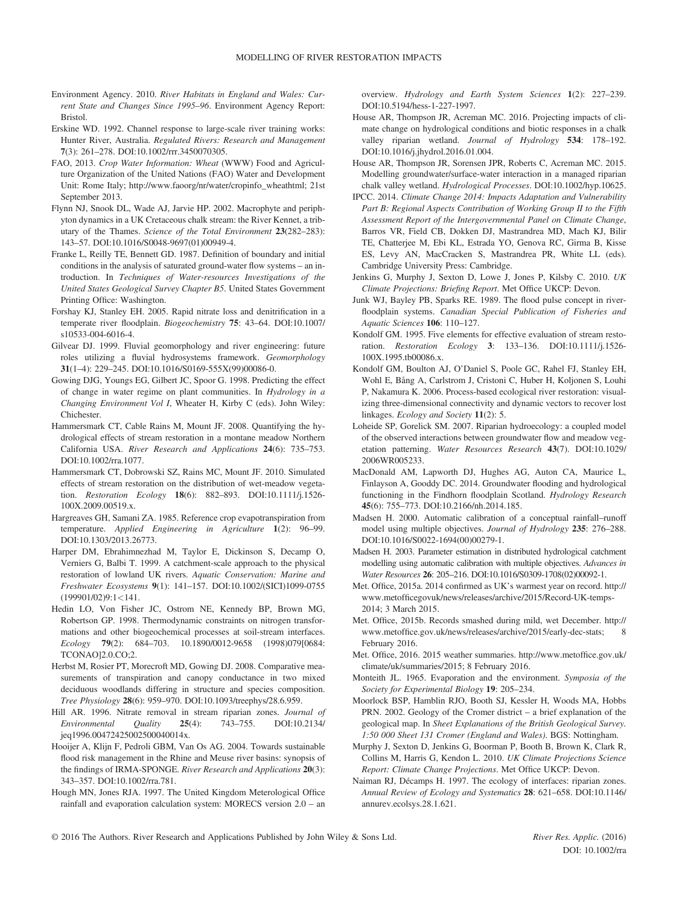- Environment Agency. 2010. River Habitats in England and Wales: Current State and Changes Since 1995–96. Environment Agency Report: Bristol.
- Erskine WD. 1992. Channel response to large-scale river training works: Hunter River, Australia. Regulated Rivers: Research and Management 7(3): 261–278. DOI[:10.1002/rrr.3450070305.](http://dx.doi.org/10.1002/rrr.3450070305)
- FAO, 2013. Crop Water Information: Wheat (WWW) Food and Agriculture Organization of the United Nations (FAO) Water and Development Unit: Rome Italy; [http://www.faoorg/nr/water/cropinfo\\_wheathtml;](http://www.faoorg/nr/water/cropinfo_wheathtml;) 21st September 2013.
- Flynn NJ, Snook DL, Wade AJ, Jarvie HP. 2002. Macrophyte and periphyton dynamics in a UK Cretaceous chalk stream: the River Kennet, a tributary of the Thames. Science of the Total Environment 23(282–283): 143–57. DOI:[10.1016/S0048-9697\(01\)00949-4.](http://dx.doi.org/10.1016/S0048-9697(01)00949-4)
- Franke L, Reilly TE, Bennett GD. 1987. Definition of boundary and initial conditions in the analysis of saturated ground-water flow systems – an introduction. In Techniques of Water-resources Investigations of the United States Geological Survey Chapter B5. United States Government Printing Office: Washington.
- Forshay KJ, Stanley EH. 2005. Rapid nitrate loss and denitrification in a temperate river floodplain. Biogeochemistry 75: 43–64. DOI:[10.1007/](http://dx.doi.org/10.1007/s10533-004-6016-4) [s10533-004-6016-4.](http://dx.doi.org/10.1007/s10533-004-6016-4)
- Gilvear DJ. 1999. Fluvial geomorphology and river engineering: future roles utilizing a fluvial hydrosystems framework. Geomorphology 31(1–4): 229–245. DOI[:10.1016/S0169-555X\(99\)00086-0.](http://dx.doi.org/10.1016/S0169-555X(99)00086-0)
- Gowing DJG, Youngs EG, Gilbert JC, Spoor G. 1998. Predicting the effect of change in water regime on plant communities. In Hydrology in a Changing Environment Vol I, Wheater H, Kirby C (eds). John Wiley: Chichester.
- Hammersmark CT, Cable Rains M, Mount JF. 2008. Quantifying the hydrological effects of stream restoration in a montane meadow Northern California USA. River Research and Applications 24(6): 735–753. DOI[:10.1002/rra.1077.](http://dx.doi.org/10.1002/rra.1077)
- Hammersmark CT, Dobrowski SZ, Rains MC, Mount JF. 2010. Simulated effects of stream restoration on the distribution of wet-meadow vegetation. Restoration Ecology 18(6): 882–893. DOI[:10.1111/j.1526-](http://dx.doi.org/10.1111/j.1526-100X.2009.00519.x) [100X.2009.00519.x.](http://dx.doi.org/10.1111/j.1526-100X.2009.00519.x)
- Hargreaves GH, Samani ZA. 1985. Reference crop evapotranspiration from temperature. Applied Engineering in Agriculture 1(2): 96–99. DOI[:10.1303/2013.26773.](http://dx.doi.org/10.1303/2013.26773)
- Harper DM, Ebrahimnezhad M, Taylor E, Dickinson S, Decamp O, Verniers G, Balbi T. 1999. A catchment-scale approach to the physical restoration of lowland UK rivers. Aquatic Conservation: Marine and Freshwater Ecosystems 9(1): 141–157. DOI[:10.1002/\(SICI\)1099-0755](http://dx.doi.org/10.1002/(SICI)1099-0755(199901/02)9:1%3c141) [\(199901/02\)9:1](http://dx.doi.org/10.1002/(SICI)1099-0755(199901/02)9:1%3c141)<[141.](http://dx.doi.org/10.1002/(SICI)1099-0755(199901/02)9:1%3c141)
- Hedin LO, Von Fisher JC, Ostrom NE, Kennedy BP, Brown MG, Robertson GP. 1998. Thermodynamic constraints on nitrogen transformations and other biogeochemical processes at soil-stream interfaces. Ecology 79(2): 684–703. [10.1890/0012-9658 \(1998\)079\[0684:](http://dx.doi.org/10.1890/0012-9658) [TCONAO\]2.0.CO;2.](http://dx.doi.org/10.1890/0012-9658)
- Herbst M, Rosier PT, Morecroft MD, Gowing DJ. 2008. Comparative measurements of transpiration and canopy conductance in two mixed deciduous woodlands differing in structure and species composition. Tree Physiology 28(6): 959–970. DOI:[10.1093/treephys/28.6.959.](http://dx.doi.org/10.1093/treephys/28.6.959)
- Hill AR. 1996. Nitrate removal in stream riparian zones. Journal of Environmental Quality 25(4): 743–755. DOI:[10.2134/](http://dx.doi.org/10.2134/jeq1996.00472425002500040014x) [jeq1996.00472425002500040014x.](http://dx.doi.org/10.2134/jeq1996.00472425002500040014x)
- Hooijer A, Klijn F, Pedroli GBM, Van Os AG. 2004. Towards sustainable flood risk management in the Rhine and Meuse river basins: synopsis of the findings of IRMA-SPONGE. River Research and Applications 20(3): 343–357. DOI[:10.1002/rra.781.](http://dx.doi.org/10.1002/rra.781)
- Hough MN, Jones RJA. 1997. The United Kingdom Meterological Office rainfall and evaporation calculation system: MORECS version 2.0 – an

overview. Hydrology and Earth System Sciences 1(2): 227–239. DOI[:10.5194/hess-1-227-1997.](http://dx.doi.org/10.5194/hess-1-227-1997)

- House AR, Thompson JR, Acreman MC. 2016. Projecting impacts of climate change on hydrological conditions and biotic responses in a chalk valley riparian wetland. Journal of Hydrology 534: 178–192. DOI[:10.1016/j.jhydrol.2016.01.004.](http://dx.doi.org/10.1016/j.jhydrol.2016.01.004)
- House AR, Thompson JR, Sorensen JPR, Roberts C, Acreman MC. 2015. Modelling groundwater/surface-water interaction in a managed riparian chalk valley wetland. Hydrological Processes. DOI[:10.1002/hyp.10625.](http://dx.doi.org/10.1002/hyp.10625)
- IPCC. 2014. Climate Change 2014: Impacts Adaptation and Vulnerability Part B: Regional Aspects Contribution of Working Group II to the Fifth Assessment Report of the Intergovernmental Panel on Climate Change, Barros VR, Field CB, Dokken DJ, Mastrandrea MD, Mach KJ, Bilir TE, Chatterjee M, Ebi KL, Estrada YO, Genova RC, Girma B, Kisse ES, Levy AN, MacCracken S, Mastrandrea PR, White LL (eds). Cambridge University Press: Cambridge.
- Jenkins G, Murphy J, Sexton D, Lowe J, Jones P, Kilsby C. 2010. UK Climate Projections: Briefing Report. Met Office UKCP: Devon.
- Junk WJ, Bayley PB, Sparks RE. 1989. The flood pulse concept in riverfloodplain systems. Canadian Special Publication of Fisheries and Aquatic Sciences 106: 110–127.
- Kondolf GM. 1995. Five elements for effective evaluation of stream restoration. Restoration Ecology 3: 133–136. DOI[:10.1111/j.1526-](http://dx.doi.org/10.1111/j.1526-100X.1995.tb00086.x) [100X.1995.tb00086.x.](http://dx.doi.org/10.1111/j.1526-100X.1995.tb00086.x)
- Kondolf GM, Boulton AJ, O'Daniel S, Poole GC, Rahel FJ, Stanley EH, Wohl E, Bång A, Carlstrom J, Cristoni C, Huber H, Koljonen S, Louhi P, Nakamura K. 2006. Process-based ecological river restoration: visualizing three-dimensional connectivity and dynamic vectors to recover lost linkages. Ecology and Society 11(2): 5.
- Loheide SP, Gorelick SM. 2007. Riparian hydroecology: a coupled model of the observed interactions between groundwater flow and meadow vegetation patterning. Water Resources Research 43(7). DOI:[10.1029/](http://dx.doi.org/10.1029/2006WR005233) [2006WR005233.](http://dx.doi.org/10.1029/2006WR005233)
- MacDonald AM, Lapworth DJ, Hughes AG, Auton CA, Maurice L, Finlayson A, Gooddy DC. 2014. Groundwater flooding and hydrological functioning in the Findhorn floodplain Scotland. Hydrology Research 45(6): 755–773. DOI[:10.2166/nh.2014.185.](http://dx.doi.org/10.2166/nh.2014.185)
- Madsen H. 2000. Automatic calibration of a conceptual rainfall–runoff model using multiple objectives. Journal of Hydrology 235: 276–288. DOI[:10.1016/S0022-1694\(00\)00279-1.](http://dx.doi.org/10.1016/S0022-1694(00)00279-1)
- Madsen H. 2003. Parameter estimation in distributed hydrological catchment modelling using automatic calibration with multiple objectives. Advances in Water Resources 26: 205–216. DOI[:10.1016/S0309-1708\(02\)00092-1.](http://dx.doi.org/10.1016/S0309-1708(02)00092-1)
- Met. Office, 2015a. 2014 confirmed as UK's warmest year on record. [http://](http://www.metofficegovuk/news/releases/archive/2015/Record-UK-temps-2014;) www.metoffi[cegovuk/news/releases/archive/2015/Record-UK-temps-](http://www.metofficegovuk/news/releases/archive/2015/Record-UK-temps-2014;)[2014;](http://www.metofficegovuk/news/releases/archive/2015/Record-UK-temps-2014;) 3 March 2015.
- Met. Office, 2015b. Records smashed during mild, wet December. [http://](http://www.metoffice.gov.uk/news/releases/archive/2015/early-dec-stats;) www.metoffi[ce.gov.uk/news/releases/archive/2015/early-dec-stats;](http://www.metoffice.gov.uk/news/releases/archive/2015/early-dec-stats;) 8 February 2016.
- Met. Office, 2016. 2015 weather summaries. [http://www.metof](http://www.metoffice.gov.uk/climate/uk/summaries/2015;)fice.gov.uk/ [climate/uk/summaries/2015;](http://www.metoffice.gov.uk/climate/uk/summaries/2015;) 8 February 2016.
- Monteith JL. 1965. Evaporation and the environment. Symposia of the Society for Experimental Biology 19: 205–234.
- Moorlock BSP, Hamblin RJO, Booth SJ, Kessler H, Woods MA, Hobbs PRN. 2002. Geology of the Cromer district – a brief explanation of the geological map. In Sheet Explanations of the British Geological Survey. 1:50 000 Sheet 131 Cromer (England and Wales). BGS: Nottingham.
- Murphy J, Sexton D, Jenkins G, Boorman P, Booth B, Brown K, Clark R, Collins M, Harris G, Kendon L. 2010. UK Climate Projections Science Report: Climate Change Projections. Met Office UKCP: Devon.
- Naiman RJ, Décamps H. 1997. The ecology of interfaces: riparian zones. Annual Review of Ecology and Systematics 28: 621–658. DOI:[10.1146/](http://dx.doi.org/10.1146/annurev.ecolsys.28.1.621) [annurev.ecolsys.28.1.621.](http://dx.doi.org/10.1146/annurev.ecolsys.28.1.621)
- © 2016 The Authors. River Research and Applications Published by John Wiley & Sons Ltd. River Res. Applic. (2016)